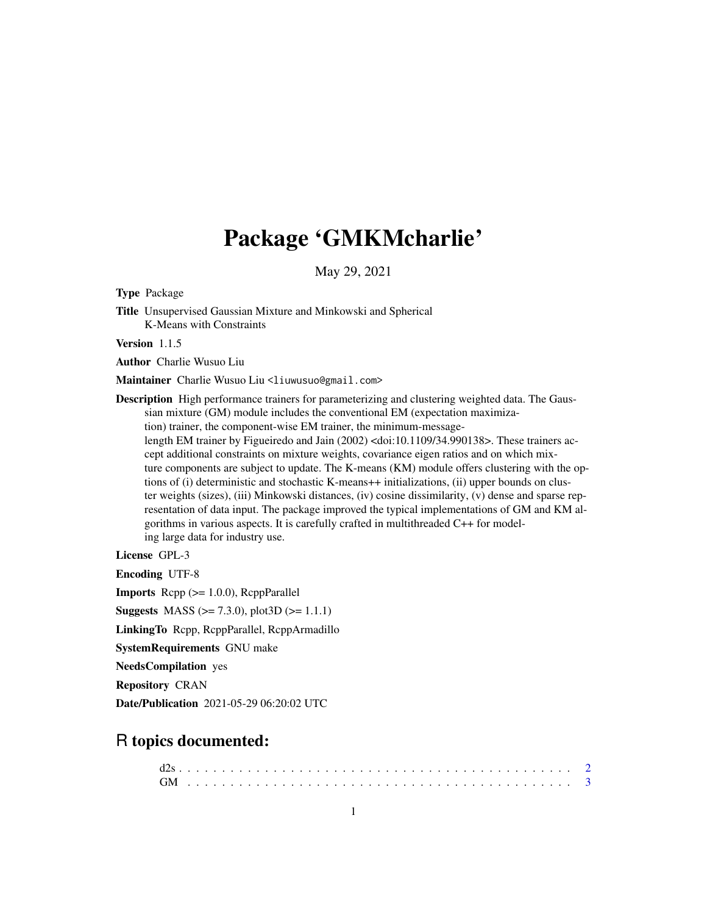# Package 'GMKMcharlie'

May 29, 2021

Type Package

Title Unsupervised Gaussian Mixture and Minkowski and Spherical K-Means with Constraints

Version 1.1.5

Author Charlie Wusuo Liu

Maintainer Charlie Wusuo Liu <liuwusuo@gmail.com>

Description High performance trainers for parameterizing and clustering weighted data. The Gaussian mixture (GM) module includes the conventional EM (expectation maximization) trainer, the component-wise EM trainer, the minimum-messagelength EM trainer by Figueiredo and Jain (2002) <doi:10.1109/34.990138>. These trainers accept additional constraints on mixture weights, covariance eigen ratios and on which mixture components are subject to update. The K-means (KM) module offers clustering with the options of (i) deterministic and stochastic K-means++ initializations, (ii) upper bounds on cluster weights (sizes), (iii) Minkowski distances, (iv) cosine dissimilarity, (v) dense and sparse representation of data input. The package improved the typical implementations of GM and KM algorithms in various aspects. It is carefully crafted in multithreaded C++ for modeling large data for industry use.

License GPL-3

Encoding UTF-8

**Imports** Rcpp  $(>= 1.0.0)$ , RcppParallel

**Suggests** MASS ( $>= 7.3.0$ ), plot3D ( $>= 1.1.1$ )

LinkingTo Rcpp, RcppParallel, RcppArmadillo

SystemRequirements GNU make

NeedsCompilation yes

Repository CRAN

Date/Publication 2021-05-29 06:20:02 UTC

# R topics documented: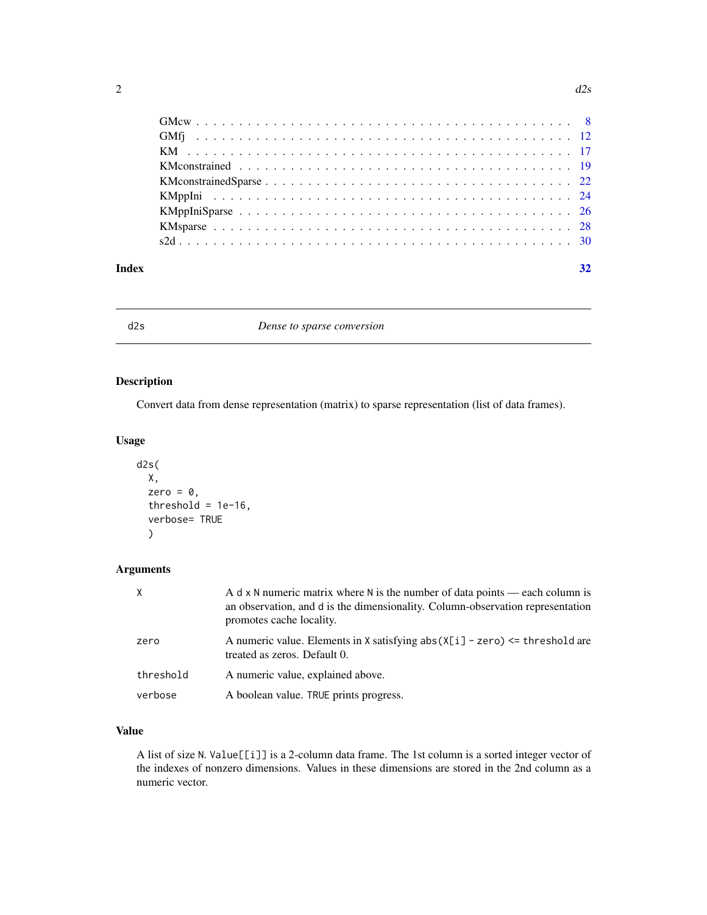<span id="page-1-0"></span>

| Index | 32 |
|-------|----|

d2s *Dense to sparse conversion*

# Description

Convert data from dense representation (matrix) to sparse representation (list of data frames).

# Usage

```
d2s(
  X,
  zero = \theta,
  threshold = 1e-16,
  verbose= TRUE
  )
```
# Arguments

| X         | A d x N numeric matrix where N is the number of data points — each column is<br>an observation, and d is the dimensionality. Column-observation representation<br>promotes cache locality. |
|-----------|--------------------------------------------------------------------------------------------------------------------------------------------------------------------------------------------|
| zero      | A numeric value. Elements in X satisfying $abs(X[i] - zero) \leq threshold$ are<br>treated as zeros. Default 0.                                                                            |
| threshold | A numeric value, explained above.                                                                                                                                                          |
| verbose   | A boolean value. TRUE prints progress.                                                                                                                                                     |

# Value

A list of size N. Value[[i]] is a 2-column data frame. The 1st column is a sorted integer vector of the indexes of nonzero dimensions. Values in these dimensions are stored in the 2nd column as a numeric vector.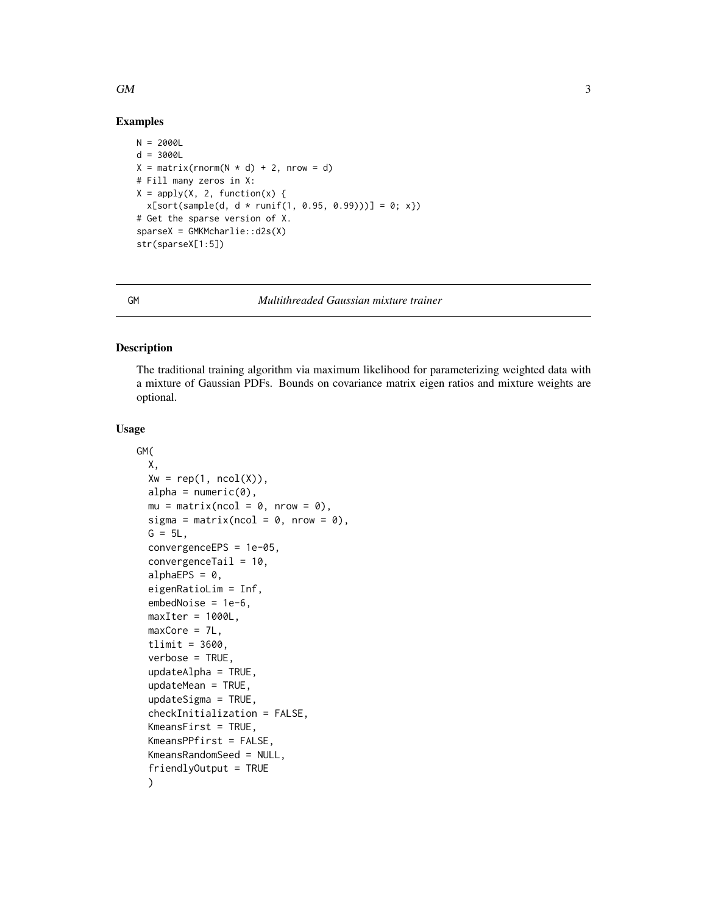#### <span id="page-2-0"></span> $GM$  3

# Examples

```
N = 2000Ld = 3000LX = matrix(rnorm(N * d) + 2, nrow = d)# Fill many zeros in X:
X = apply(X, 2, function(x))x[sort(sample(d, d * runif(1, 0.95, 0.99)))] = 0; x})# Get the sparse version of X.
sparseX = GMKMcharlie::d2s(X)
str(sparseX[1:5])
```
GM *Multithreaded Gaussian mixture trainer*

#### Description

The traditional training algorithm via maximum likelihood for parameterizing weighted data with a mixture of Gaussian PDFs. Bounds on covariance matrix eigen ratios and mixture weights are optional.

#### Usage

```
GM(
  X,
  Xw = rep(1, ncol(X)),alpha = numeric(0),
 mu = matrix(ncol = 0, nrow = 0),
  sigma = matrix(ncol = 0, nrow = 0),
  G = 5L,
  convergenceEPS = 1e-05,
  convergenceTail = 10,
  alphaEPS = 0,
  eigenRatioLim = Inf,
  embedNoise = 1e-6,
 maxIter = 1000L,maxCore = 7L,
  tlimit = 3600,
  verbose = TRUE,
  updateAlpha = TRUE,
  updateMean = TRUE,
  updateSigma = TRUE,
  checkInitialization = FALSE,
  KmeansFirst = TRUE,
  KmeansPPfirst = FALSE,
  KmeansRandomSeed = NULL,
  friendlyOutput = TRUE
  )
```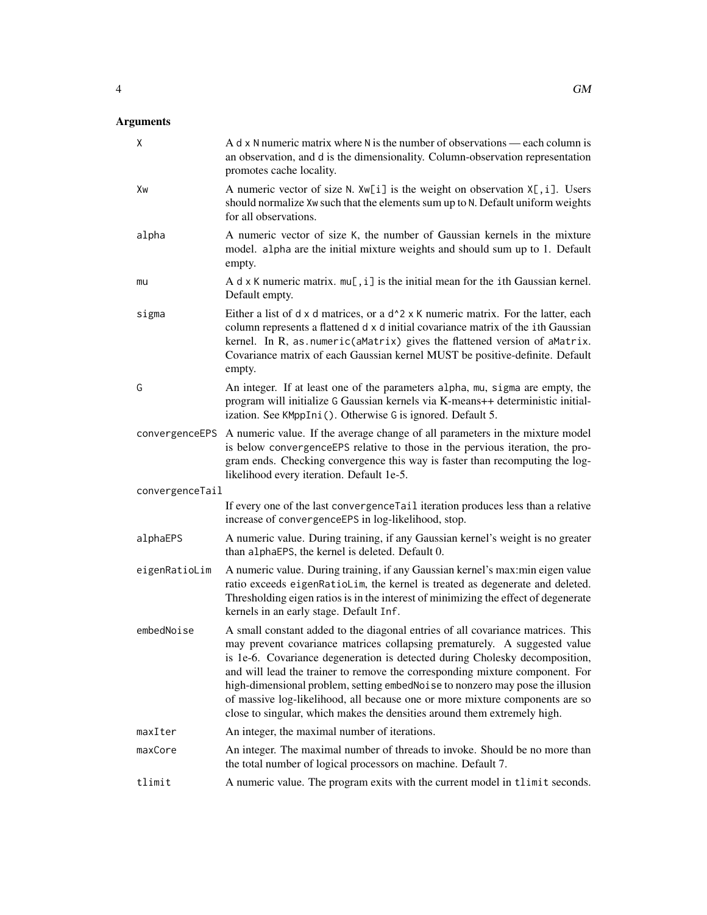| Χ               | A d x N numeric matrix where N is the number of observations — each column is<br>an observation, and d is the dimensionality. Column-observation representation<br>promotes cache locality.                                                                                                                                                                                                                                                                                                                                                                              |
|-----------------|--------------------------------------------------------------------------------------------------------------------------------------------------------------------------------------------------------------------------------------------------------------------------------------------------------------------------------------------------------------------------------------------------------------------------------------------------------------------------------------------------------------------------------------------------------------------------|
| Xw              | A numeric vector of size N. Xw[i] is the weight on observation X[, i]. Users<br>should normalize Xw such that the elements sum up to N. Default uniform weights<br>for all observations.                                                                                                                                                                                                                                                                                                                                                                                 |
| alpha           | A numeric vector of size K, the number of Gaussian kernels in the mixture<br>model. alpha are the initial mixture weights and should sum up to 1. Default<br>empty.                                                                                                                                                                                                                                                                                                                                                                                                      |
| mu              | A $d \times K$ numeric matrix. $mu[, i]$ is the initial mean for the ith Gaussian kernel.<br>Default empty.                                                                                                                                                                                                                                                                                                                                                                                                                                                              |
| sigma           | Either a list of d x d matrices, or a d <sup><math>\lambda</math></sup> 2 x K numeric matrix. For the latter, each<br>column represents a flattened d x d initial covariance matrix of the ith Gaussian<br>kernel. In R, as.numeric(aMatrix) gives the flattened version of aMatrix.<br>Covariance matrix of each Gaussian kernel MUST be positive-definite. Default<br>empty.                                                                                                                                                                                           |
| G               | An integer. If at least one of the parameters alpha, mu, sigma are empty, the<br>program will initialize G Gaussian kernels via K-means++ deterministic initial-<br>ization. See KMppIni(). Otherwise G is ignored. Default 5.                                                                                                                                                                                                                                                                                                                                           |
|                 | convergenceEPS A numeric value. If the average change of all parameters in the mixture model<br>is below convergenceEPS relative to those in the pervious iteration, the pro-<br>gram ends. Checking convergence this way is faster than recomputing the log-<br>likelihood every iteration. Default 1e-5.                                                                                                                                                                                                                                                               |
| convergenceTail |                                                                                                                                                                                                                                                                                                                                                                                                                                                                                                                                                                          |
|                 | If every one of the last convergence Tail iteration produces less than a relative<br>increase of convergenceEPS in log-likelihood, stop.                                                                                                                                                                                                                                                                                                                                                                                                                                 |
| alphaEPS        | A numeric value. During training, if any Gaussian kernel's weight is no greater<br>than alphaEPS, the kernel is deleted. Default 0.                                                                                                                                                                                                                                                                                                                                                                                                                                      |
| eigenRatioLim   | A numeric value. During training, if any Gaussian kernel's max:min eigen value<br>ratio exceeds eigenRatioLim, the kernel is treated as degenerate and deleted.<br>Thresholding eigen ratios is in the interest of minimizing the effect of degenerate<br>kernels in an early stage. Default Inf.                                                                                                                                                                                                                                                                        |
| embedNoise      | A small constant added to the diagonal entries of all covariance matrices. This<br>may prevent covariance matrices collapsing prematurely. A suggested value<br>is 1e-6. Covariance degeneration is detected during Cholesky decomposition,<br>and will lead the trainer to remove the corresponding mixture component. For<br>high-dimensional problem, setting embedNoise to nonzero may pose the illusion<br>of massive log-likelihood, all because one or more mixture components are so<br>close to singular, which makes the densities around them extremely high. |
| maxIter         | An integer, the maximal number of iterations.                                                                                                                                                                                                                                                                                                                                                                                                                                                                                                                            |
| maxCore         | An integer. The maximal number of threads to invoke. Should be no more than<br>the total number of logical processors on machine. Default 7.                                                                                                                                                                                                                                                                                                                                                                                                                             |
| tlimit          | A numeric value. The program exits with the current model in tlimit seconds.                                                                                                                                                                                                                                                                                                                                                                                                                                                                                             |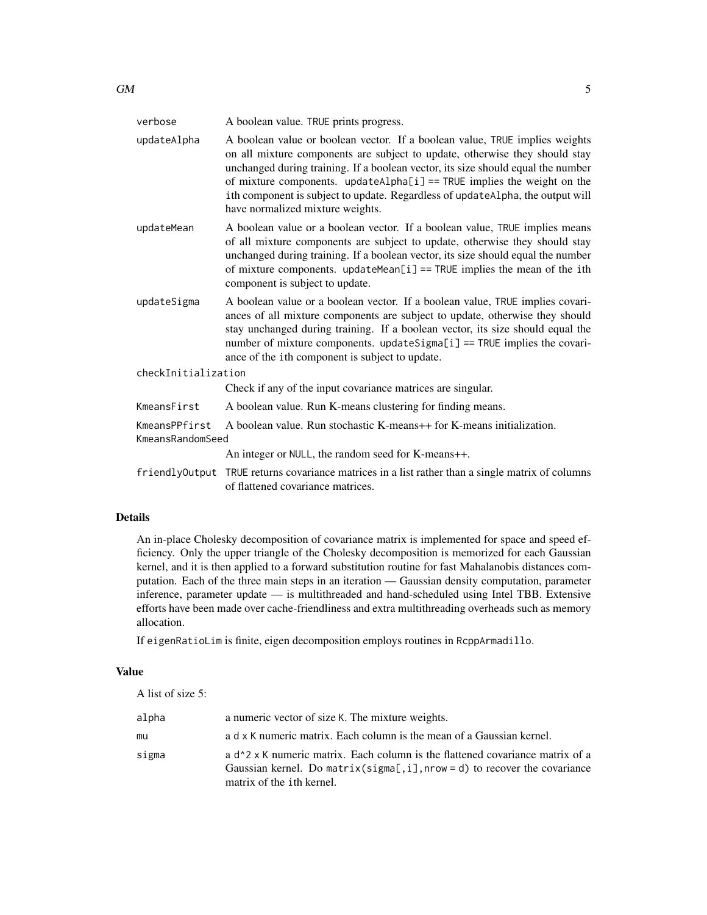| GM | $\overline{\phantom{a}}$<br>$\sim$ . |
|----|--------------------------------------|

| verbose                           | A boolean value. TRUE prints progress.                                                                                                                                                                                                                                                                                                                                                                                                          |
|-----------------------------------|-------------------------------------------------------------------------------------------------------------------------------------------------------------------------------------------------------------------------------------------------------------------------------------------------------------------------------------------------------------------------------------------------------------------------------------------------|
| updateAlpha                       | A boolean value or boolean vector. If a boolean value, TRUE implies weights<br>on all mixture components are subject to update, otherwise they should stay<br>unchanged during training. If a boolean vector, its size should equal the number<br>of mixture components. updateAlpha[i] == TRUE implies the weight on the<br>ith component is subject to update. Regardless of updateAlpha, the output will<br>have normalized mixture weights. |
| updateMean                        | A boolean value or a boolean vector. If a boolean value, TRUE implies means<br>of all mixture components are subject to update, otherwise they should stay<br>unchanged during training. If a boolean vector, its size should equal the number<br>of mixture components. updateMean[i] == TRUE implies the mean of the ith<br>component is subject to update.                                                                                   |
| updateSigma                       | A boolean value or a boolean vector. If a boolean value, TRUE implies covari-<br>ances of all mixture components are subject to update, otherwise they should<br>stay unchanged during training. If a boolean vector, its size should equal the<br>number of mixture components. updateSigma[i] == TRUE implies the covari-<br>ance of the ith component is subject to update.                                                                  |
| checkInitialization               |                                                                                                                                                                                                                                                                                                                                                                                                                                                 |
|                                   | Check if any of the input covariance matrices are singular.                                                                                                                                                                                                                                                                                                                                                                                     |
| KmeansFirst                       | A boolean value. Run K-means clustering for finding means.                                                                                                                                                                                                                                                                                                                                                                                      |
| KmeansPPfirst<br>KmeansRandomSeed | A boolean value. Run stochastic K-means++ for K-means initialization.                                                                                                                                                                                                                                                                                                                                                                           |
|                                   | An integer or NULL, the random seed for K-means++.                                                                                                                                                                                                                                                                                                                                                                                              |
|                                   | friendly Output TRUE returns covariance matrices in a list rather than a single matrix of columns<br>of flattened covariance matrices.                                                                                                                                                                                                                                                                                                          |

# Details

An in-place Cholesky decomposition of covariance matrix is implemented for space and speed efficiency. Only the upper triangle of the Cholesky decomposition is memorized for each Gaussian kernel, and it is then applied to a forward substitution routine for fast Mahalanobis distances computation. Each of the three main steps in an iteration — Gaussian density computation, parameter inference, parameter update — is multithreaded and hand-scheduled using Intel TBB. Extensive efforts have been made over cache-friendliness and extra multithreading overheads such as memory allocation.

If eigenRatioLim is finite, eigen decomposition employs routines in RcppArmadillo.

# Value

A list of size 5:

| alpha | a numeric vector of size K. The mixture weights.                                                                                                                                                                           |
|-------|----------------------------------------------------------------------------------------------------------------------------------------------------------------------------------------------------------------------------|
| mu    | a d x K numeric matrix. Each column is the mean of a Gaussian kernel.                                                                                                                                                      |
| sigma | a d <sup><math>\lambda</math></sup> 2 x K numeric matrix. Each column is the flattened covariance matrix of a<br>Gaussian kernel. Do matrix( $signa$ [,i],nrow = d) to recover the covariance<br>matrix of the ith kernel. |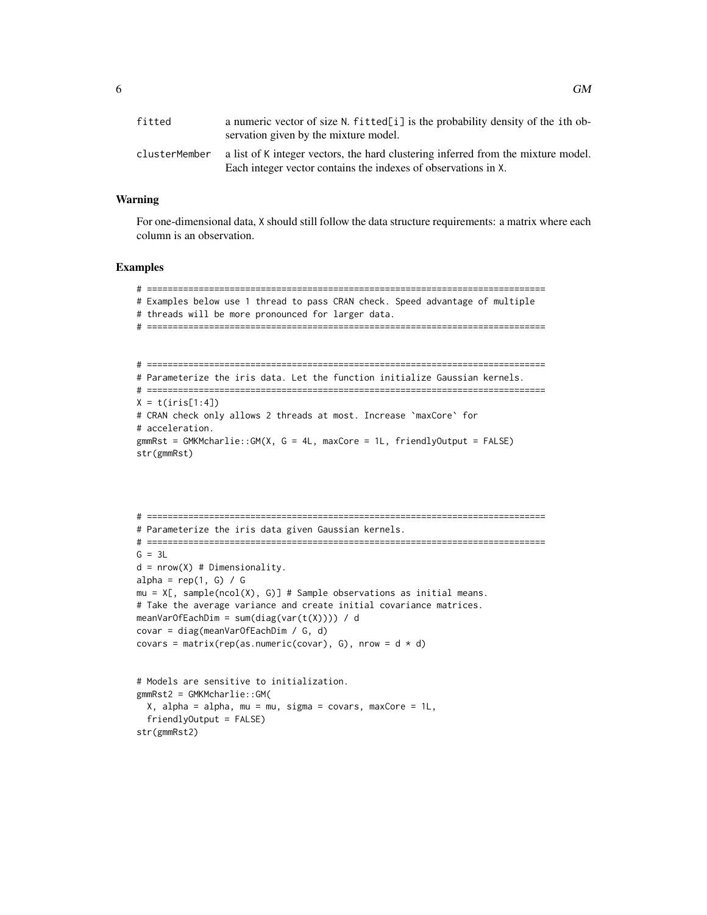| fitted        | a numeric vector of size N. fitted[i] is the probability density of the ith ob-<br>servation given by the mixture model.                            |
|---------------|-----------------------------------------------------------------------------------------------------------------------------------------------------|
| clusterMember | a list of K integer vectors, the hard clustering inferred from the mixture model.<br>Each integer vector contains the indexes of observations in X. |

#### Warning

For one-dimensional data, X should still follow the data structure requirements: a matrix where each column is an observation.

```
# =============================================================================
# Examples below use 1 thread to pass CRAN check. Speed advantage of multiple
# threads will be more pronounced for larger data.
# =============================================================================
# =============================================================================
# Parameterize the iris data. Let the function initialize Gaussian kernels.
# =============================================================================
X = t(iris[1:4])# CRAN check only allows 2 threads at most. Increase `maxCore` for
# acceleration.
gmmRst = GMKMcharlie::GM(X, G = 4L, maxCore = 1L, friendlyOutput = FALSE)str(gmmRst)
# =============================================================================
# Parameterize the iris data given Gaussian kernels.
# =============================================================================
G = 3Ld = nrow(X) # Dimensionality.
alpha = rep(1, G) / Gmu = X[\,, sample(ncol(X), G)] # Sample observations as initial means.
```

```
# Take the average variance and create initial covariance matrices.
meanVarOfEachDim = sum(diag(var(t(X)))) / d
covar = diag(meanVarOfEachDim / G, d)
covars = matrix(rep(as.numeric(covar), G), nrow = d * d)
# Models are sensitive to initialization.
gmmRst2 = GMKMcharlie::GM(
  X, alpha = alpha, mu = mu, sigma = covars, maxCore = 1L,
  friendlyOutput = FALSE)
```

```
str(gmmRst2)
```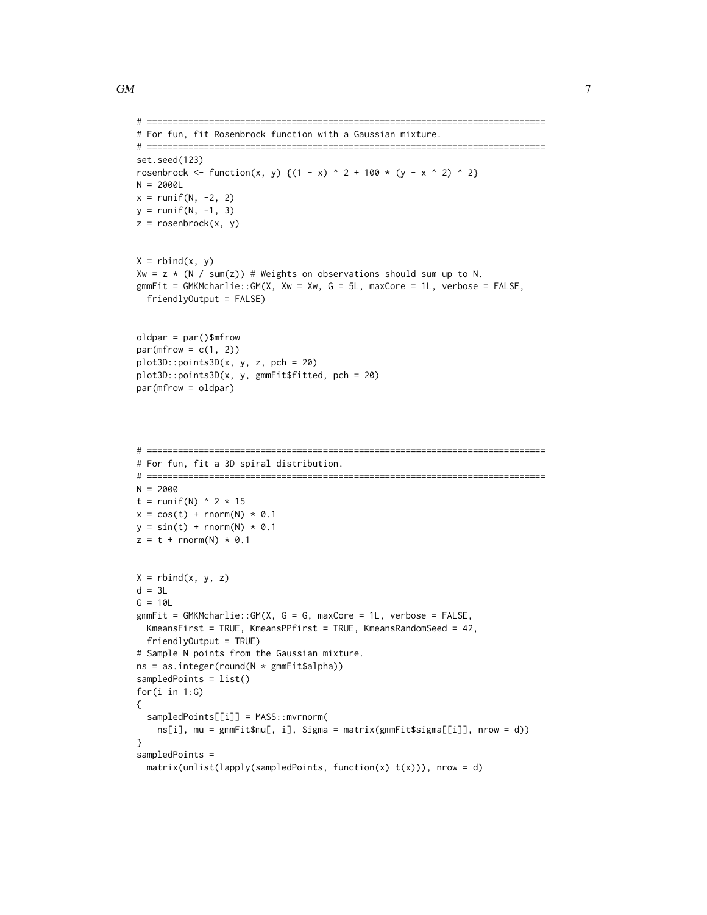```
# =============================================================================
# For fun, fit Rosenbrock function with a Gaussian mixture.
# =============================================================================
set.seed(123)
rosenbrock <- function(x, y) {(1 - x) ^ 2 + 100 * (y - x ^ 2) ^ 2}
N = 2000L
x = runif(N, -2, 2)y = runif(N, -1, 3)z = rosenbrock(x, y)
X = \text{rbind}(x, y)Xw = z * (N / sum(z)) # Weights on observations should sum up to N.
gmmFit = GMKMcharlie::GM(X, Xw = Xw, G = 5L, maxCore = 1L, verbose = FALSE,friendlyOutput = FALSE)
oldpar = par()$mfrow
par(mfrow = c(1, 2))plot3D::points3D(x, y, z, pch = 20)plot3D::points3D(x, y, gmmFit$fitted, pch = 20)
par(mfrow = oldpar)
```

```
# =============================================================================
# For fun, fit a 3D spiral distribution.
# =============================================================================
N = 2000
t = runif(N) ^ 2 * 15
x = cos(t) + rnorm(N) * 0.1y = sin(t) + rnorm(N) * 0.1z = t + \text{norm}(N) * 0.1X = \text{rbind}(x, y, z)d = 3LG = 10LgmmFit = GMKMcharlie::GM(X, G = G, maxCore = 1L, verbose = FALSE,KmeansFirst = TRUE, KmeansPPfirst = TRUE, KmeansRandomSeed = 42,
  friendlyOutput = TRUE)
# Sample N points from the Gaussian mixture.
ns = as.integer(round(N * gmmFit$alpha))
sampledPoints = list()
for(i in 1:G)
{
  sampledPoints[[i]] = MASS::mvrnorm(
    ns[i], mu = gmmFit$mu[, i], Sigma = matrix(gmmFit$sigma[[i]], nrow = d))
}
sampledPoints =
  matrix(unlist(lapply(sampledPoints, function(x) t(x))), nrow = d)
```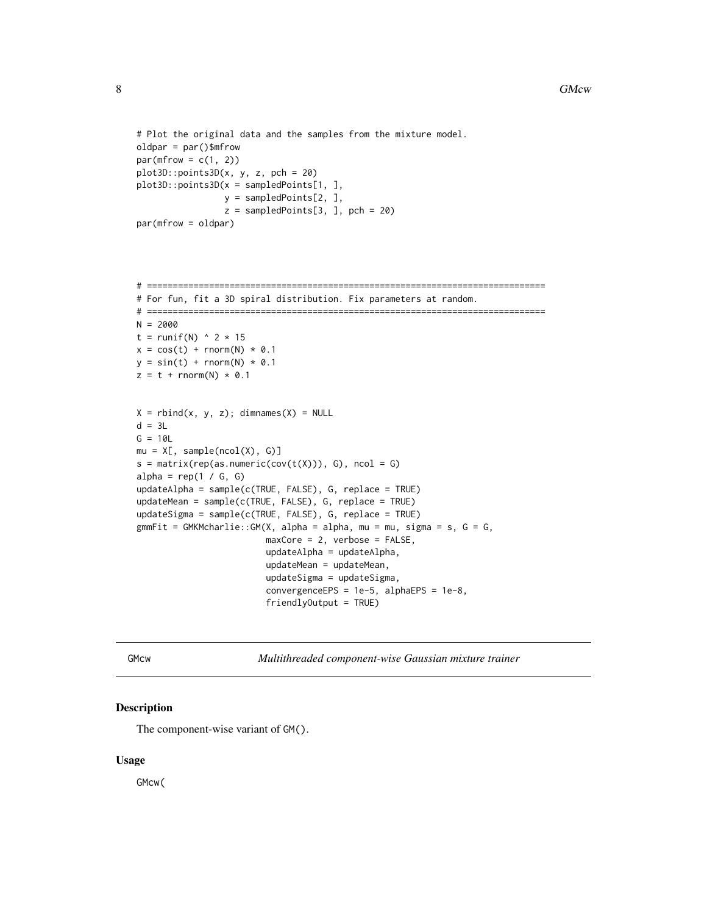```
# Plot the original data and the samples from the mixture model.
oldpar = par()$mfrow
par(mfrow = c(1, 2))plot3D::points3D(x, y, z, pch = 20)plot3D::points3D(x = sampledPoints[1, ],
                 y = sampledPoints[2, ],
                 z = sampledPoints[3, ], pch = 20)
par(mfrow = oldpar)
```

```
# =============================================================================
# For fun, fit a 3D spiral distribution. Fix parameters at random.
# =============================================================================
N = 2000
t = runif(N) \land 2 \star 15
x = cos(t) + rnorm(N) * 0.1y = sin(t) + rnorm(N) * 0.1z = t + \text{norm}(N) * 0.1X = \text{rbind}(x, y, z); dimnames(X) = NULL
d = 3LG = 10Lmu = X[, sample(ncol(X), G]s = matrix(rep(as.numeric(cov(t(X))), G), ncol = G)alpha = rep(1 / G, G)updateAlpha = sample(c(TRUE, FALSE), G, replace = TRUE)
updateMean = sample(c(TRUE, FALSE), G, replace = TRUE)
updateSigma = sample(c(TRUE, FALSE), G, replace = TRUE)
gmmFit = GMKMcharlie::GM(X, alpha = alpha, mu = mu, sigma = s, G = G,maxCore = 2, verbose = FALSE,
                         updateAlpha = updateAlpha,
                         updateMean = updateMean,
                         updateSigma = updateSigma,
                          convergenceEPS = 1e-5, alphaEPS = 1e-8,
                          friendlyOutput = TRUE)
```
GMcw *Multithreaded component-wise Gaussian mixture trainer*

# Description

The component-wise variant of GM().

#### Usage

GMcw(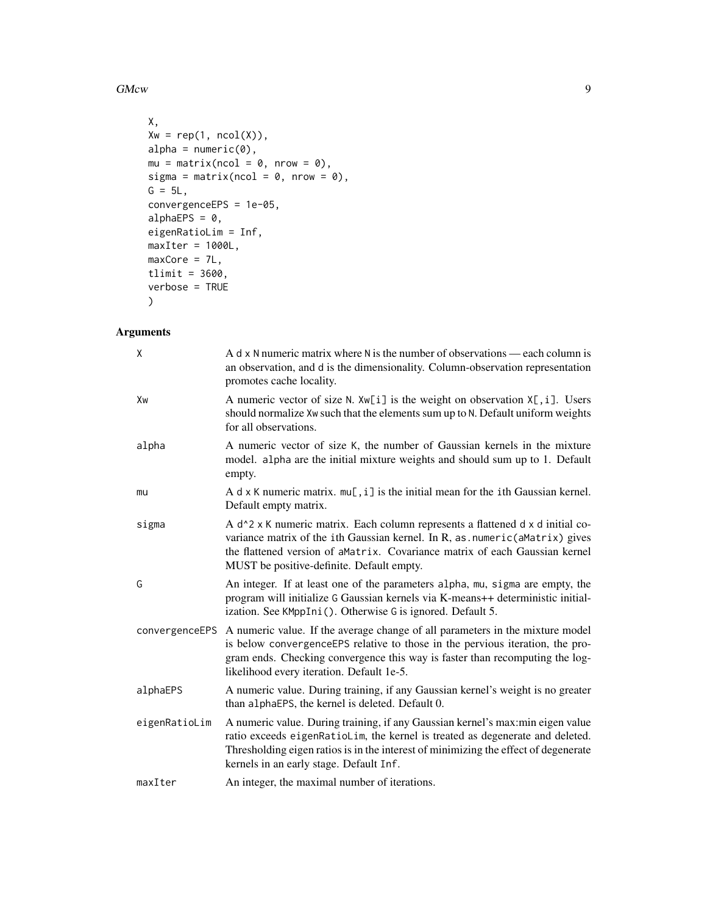GMcw 99

```
X,
Xw = rep(1, ncol(X)),alpha = numeric(0),
mu = matrix(ncol = 0, nrow = 0),sigma = matrix(ncol = 0, nrow = 0),
G = 5L,convergenceEPS = 1e-05,
alphaEPS = 0,
eigenRatioLim = Inf,
maxIter = 1000L,maxCore = 7L,
tlimit = 3600,
verbose = TRUE
)
```

| χ             | A d x N numeric matrix where N is the number of observations — each column is<br>an observation, and d is the dimensionality. Column-observation representation<br>promotes cache locality.                                                                                                                                  |
|---------------|------------------------------------------------------------------------------------------------------------------------------------------------------------------------------------------------------------------------------------------------------------------------------------------------------------------------------|
| Xw            | A numeric vector of size N. $Xw[i]$ is the weight on observation $X[i]$ . Users<br>should normalize Xw such that the elements sum up to N. Default uniform weights<br>for all observations.                                                                                                                                  |
| alpha         | A numeric vector of size K, the number of Gaussian kernels in the mixture<br>model. alpha are the initial mixture weights and should sum up to 1. Default<br>empty.                                                                                                                                                          |
| mu            | A d $\times$ K numeric matrix. $mu[, i]$ is the initial mean for the ith Gaussian kernel.<br>Default empty matrix.                                                                                                                                                                                                           |
| sigma         | A d <sup><math>\lambda</math></sup> 2 x K numeric matrix. Each column represents a flattened d x d initial co-<br>variance matrix of the ith Gaussian kernel. In R, as . numeric (aMatrix) gives<br>the flattened version of aMatrix. Covariance matrix of each Gaussian kernel<br>MUST be positive-definite. Default empty. |
| G             | An integer. If at least one of the parameters alpha, mu, sigma are empty, the<br>program will initialize G Gaussian kernels via K-means++ deterministic initial-<br>ization. See KMppIni(). Otherwise G is ignored. Default 5.                                                                                               |
|               | convergenceEPS A numeric value. If the average change of all parameters in the mixture model<br>is below convergenceEPS relative to those in the pervious iteration, the pro-<br>gram ends. Checking convergence this way is faster than recomputing the log-<br>likelihood every iteration. Default 1e-5.                   |
| alphaEPS      | A numeric value. During training, if any Gaussian kernel's weight is no greater<br>than alphaEPS, the kernel is deleted. Default 0.                                                                                                                                                                                          |
| eigenRatioLim | A numeric value. During training, if any Gaussian kernel's max:min eigen value<br>ratio exceeds eigenRatioLim, the kernel is treated as degenerate and deleted.<br>Thresholding eigen ratios is in the interest of minimizing the effect of degenerate<br>kernels in an early stage. Default Inf.                            |
| maxIter       | An integer, the maximal number of iterations.                                                                                                                                                                                                                                                                                |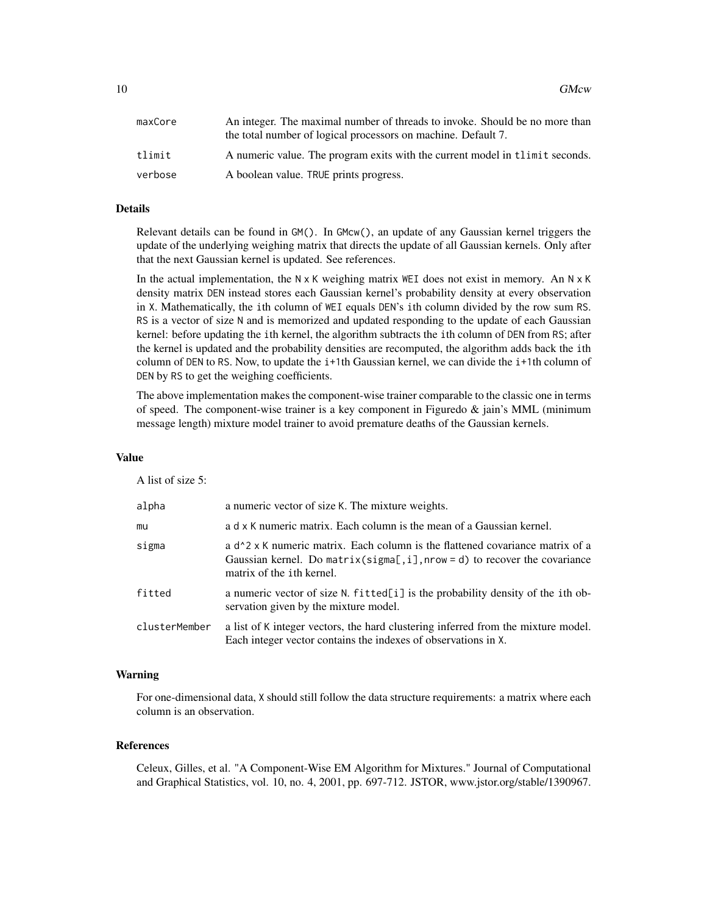| maxCore | An integer. The maximal number of threads to invoke. Should be no more than |
|---------|-----------------------------------------------------------------------------|
|         | the total number of logical processors on machine. Default 7.               |
| tlimit  | A numeric value. The program exits with the current model in the seconds.   |
| verbose | A boolean value. TRUE prints progress.                                      |

# Details

Relevant details can be found in GM(). In GMcw(), an update of any Gaussian kernel triggers the update of the underlying weighing matrix that directs the update of all Gaussian kernels. Only after that the next Gaussian kernel is updated. See references.

In the actual implementation, the  $N \times K$  weighing matrix WEI does not exist in memory. An  $N \times K$ density matrix DEN instead stores each Gaussian kernel's probability density at every observation in X. Mathematically, the ith column of WEI equals DEN's ith column divided by the row sum RS. RS is a vector of size N and is memorized and updated responding to the update of each Gaussian kernel: before updating the ith kernel, the algorithm subtracts the ith column of DEN from RS; after the kernel is updated and the probability densities are recomputed, the algorithm adds back the ith column of DEN to RS. Now, to update the i+1th Gaussian kernel, we can divide the i+1th column of DEN by RS to get the weighing coefficients.

The above implementation makes the component-wise trainer comparable to the classic one in terms of speed. The component-wise trainer is a key component in Figuredo  $\&$  jain's MML (minimum message length) mixture model trainer to avoid premature deaths of the Gaussian kernels.

#### Value

A list of size 5:

| alpha         | a numeric vector of size K. The mixture weights.                                                                                                                                                                |
|---------------|-----------------------------------------------------------------------------------------------------------------------------------------------------------------------------------------------------------------|
| mu            | a d x K numeric matrix. Each column is the mean of a Gaussian kernel.                                                                                                                                           |
| sigma         | a d <sup>2</sup> x K numeric matrix. Each column is the flattened covariance matrix of a<br>Gaussian kernel. Do matrix( $signa$ [, i], nrow = d) to recover the covariance<br>matrix of the <i>i</i> th kernel. |
| fitted        | a numeric vector of size N. fitted[i] is the probability density of the ith ob-<br>servation given by the mixture model.                                                                                        |
| clusterMember | a list of K integer vectors, the hard clustering inferred from the mixture model.<br>Each integer vector contains the indexes of observations in X.                                                             |

#### Warning

For one-dimensional data, X should still follow the data structure requirements: a matrix where each column is an observation.

#### References

Celeux, Gilles, et al. "A Component-Wise EM Algorithm for Mixtures." Journal of Computational and Graphical Statistics, vol. 10, no. 4, 2001, pp. 697-712. JSTOR, www.jstor.org/stable/1390967.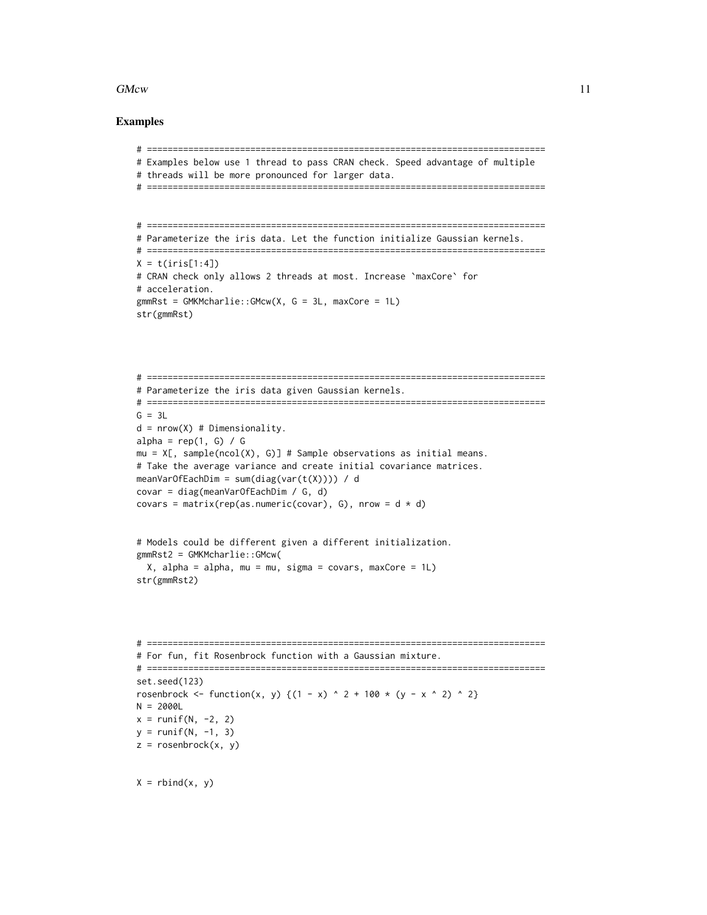#### $G$ Mcw  $11$

```
# =============================================================================
# Examples below use 1 thread to pass CRAN check. Speed advantage of multiple
# threads will be more pronounced for larger data.
# =============================================================================
# =============================================================================
# Parameterize the iris data. Let the function initialize Gaussian kernels.
# =============================================================================
X = t(iris[1:4])# CRAN check only allows 2 threads at most. Increase `maxCore` for
# acceleration.
gmmRst = GMKMcharlie::GMcw(X, G = 3L, maxCore = 1L)str(gmmRst)
# =============================================================================
# Parameterize the iris data given Gaussian kernels.
# =============================================================================
G = 3Ld = nrow(X) # Dimensionality.
alpha = rep(1, G) / G
mu = X[, sample(ncol(X), G)] # Sample observations as initial means.
# Take the average variance and create initial covariance matrices.
meanVarOfEachDim = sum(diag(var(t(X)))) / d
covar = diag(meanVarOfEachDim / G, d)
covars = matrix(rep(as.numeric(covar), G), nrow = d * d)
# Models could be different given a different initialization.
gmmRst2 = GMKMcharlie::GMcw(
  X, alpha = alpha, mu = mu, sigma = covars, maxCore = 1L)
str(gmmRst2)
# =============================================================================
# For fun, fit Rosenbrock function with a Gaussian mixture.
# =============================================================================
set.seed(123)
rosenbrock <- function(x, y) {(1 - x) ^ 2 + 100 * (y - x ^ 2) ^ 2}
N = 2000Lx = runif(N, -2, 2)y = runif(N, -1, 3)z = rosenbrock(x, y)
X = \text{rbind}(x, y)
```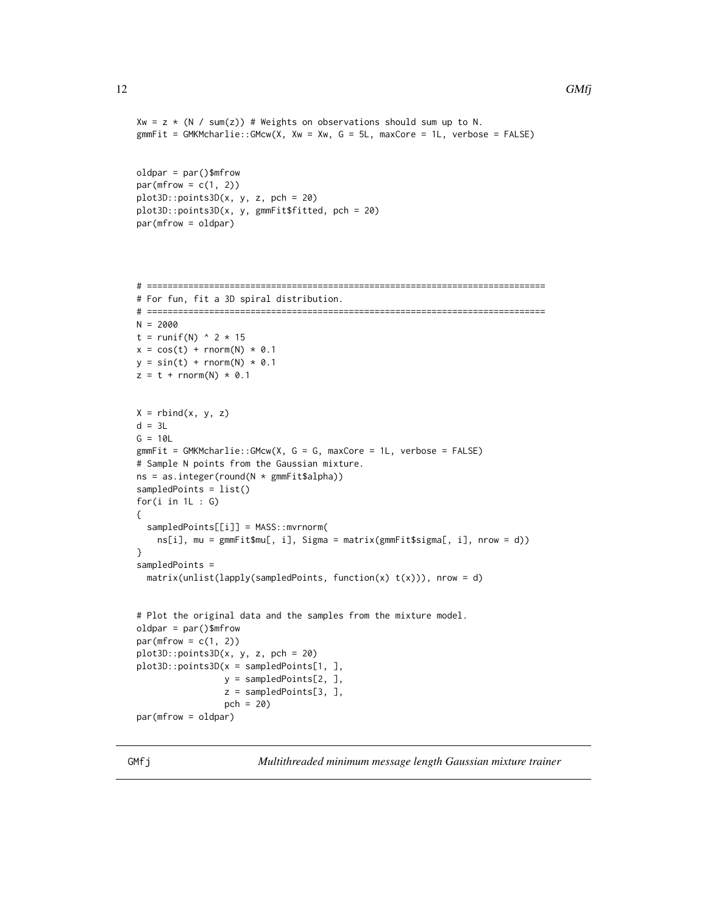```
Xw = z * (N / sum(z)) # Weights on observations should sum up to N.
gmmFit = GMKMcharlie::GMcw(X, Xw = Xw, G = 5L, maxCore = 1L, verbose = FALSE)oldpar = par()$mfrow
par(mfrow = c(1, 2))plot3D::points3D(x, y, z, pch = 20)plot3D::points3D(x, y, gmmFit$fitted, pch = 20)
par(mfrow = oldpar)
```

```
# =============================================================================
# For fun, fit a 3D spiral distribution.
# =============================================================================
N = 2000
t = runif(N) \land 2 \star 15
x = cos(t) + rnorm(N) * 0.1y = sin(t) + rnorm(N) * 0.1z = t + \text{norm}(N) * 0.1X = \text{rbind}(x, y, z)d = 3LG = 10LgmmFit = GMKMcharlie::GMcw(X, G = G, maxCore = 1L, verbose = FALSE)# Sample N points from the Gaussian mixture.
ns = as.integer(round(N * gmmFit$alpha))
sampledPoints = list()
for(i in 1L : G{
  sampledPoints[[i]] = MASS::mvrnorm(
    ns[i], mu = gmmFit$mu[, i], Sigma = matrix(gmmFit$sigma[, i], nrow = d))
}
sampledPoints =
  matrix(unlist(lapply(sampledPoints, function(x) t(x))), nrow = d)
# Plot the original data and the samples from the mixture model.
oldpar = par()$mfrow
par(mfrow = c(1, 2))plot3D::points3D(x, y, z, pch = 20)
plot3D::points3D(x = sampledPoints[1, ],
                 y = sampledPoints[2, ],
                 z = sampledPoints[3, ],
                 pch = 20)
par(mfrow = oldpar)
```
GMfj *Multithreaded minimum message length Gaussian mixture trainer*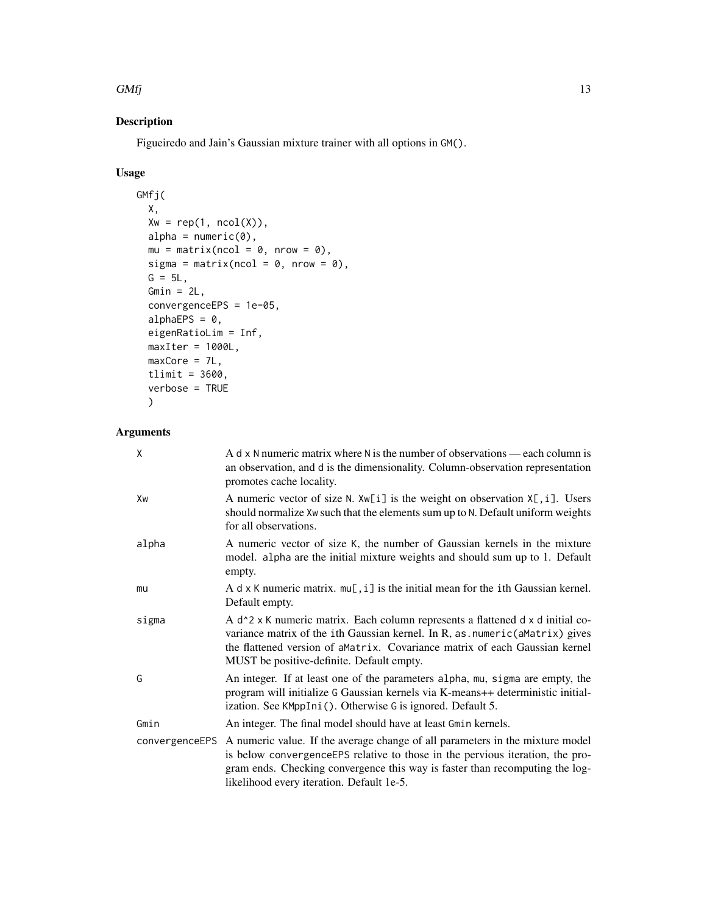#### $GMf$  13

# Description

Figueiredo and Jain's Gaussian mixture trainer with all options in GM().

# Usage

```
GMfj(
 X,
 Xw = rep(1, ncol(X)),alpha = numeric(0),
 mu = matrix(ncol = 0, nrow = 0),
  sigma = matrix(ncol = 0, nrow = 0),
 G = 5L,Gmin = 2L,
  convergenceEPS = 1e-05,
  alphaEPS = 0,
 eigenRatioLim = Inf,
 maxIter = 1000L,maxCore = 7L,
  tlimit = 3600,
  verbose = TRUE
  \mathcal{L}
```

| X              | A $d \times N$ numeric matrix where N is the number of observations — each column is<br>an observation, and d is the dimensionality. Column-observation representation<br>promotes cache locality.                                                                                                                            |
|----------------|-------------------------------------------------------------------------------------------------------------------------------------------------------------------------------------------------------------------------------------------------------------------------------------------------------------------------------|
| Xw             | A numeric vector of size N. $Xw[i]$ is the weight on observation $X[i]$ . Users<br>should normalize Xw such that the elements sum up to N. Default uniform weights<br>for all observations.                                                                                                                                   |
| alpha          | A numeric vector of size K, the number of Gaussian kernels in the mixture<br>model. alpha are the initial mixture weights and should sum up to 1. Default<br>empty.                                                                                                                                                           |
| mu             | A d $\times$ K numeric matrix. $mu[, i]$ is the initial mean for the ith Gaussian kernel.<br>Default empty.                                                                                                                                                                                                                   |
| sigma          | A d <sup><math>\lambda</math></sup> 2 x K numeric matrix. Each column represents a flattened d x d initial co-<br>variance matrix of the ith Gaussian kernel. In R, as . numeric (aMatrix) gives<br>the flattened version of a Matrix. Covariance matrix of each Gaussian kernel<br>MUST be positive-definite. Default empty. |
| G              | An integer. If at least one of the parameters alpha, mu, sigma are empty, the<br>program will initialize G Gaussian kernels via K-means++ deterministic initial-<br>ization. See KMppIni (). Otherwise G is ignored. Default 5.                                                                                               |
| Gmin           | An integer. The final model should have at least Gmin kernels.                                                                                                                                                                                                                                                                |
| convergenceEPS | A numeric value. If the average change of all parameters in the mixture model<br>is below convergenceEPS relative to those in the pervious iteration, the pro-<br>gram ends. Checking convergence this way is faster than recomputing the log-<br>likelihood every iteration. Default 1e-5.                                   |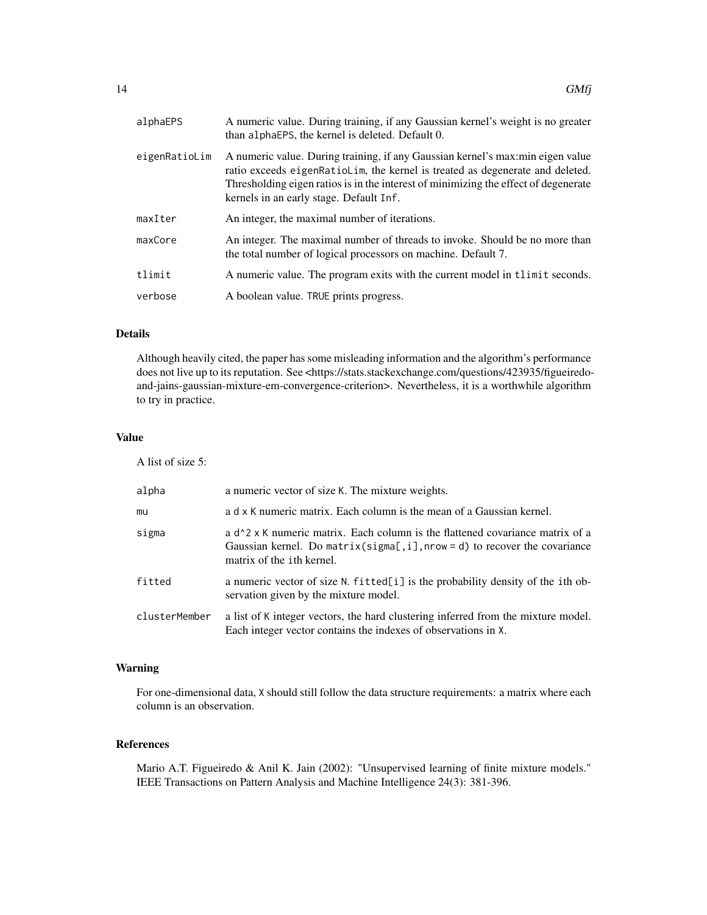| alphaEPS      | A numeric value. During training, if any Gaussian kernel's weight is no greater<br>than alphaEPS, the kernel is deleted. Default 0.                                                                                                                                                                |
|---------------|----------------------------------------------------------------------------------------------------------------------------------------------------------------------------------------------------------------------------------------------------------------------------------------------------|
| eigenRatioLim | A numeric value. During training, if any Gaussian kernel's max: min eigen value<br>ratio exceeds eigenRatioLim, the kernel is treated as degenerate and deleted.<br>Thresholding eigen ratios is in the interest of minimizing the effect of degenerate<br>kernels in an early stage. Default Inf. |
| maxIter       | An integer, the maximal number of iterations.                                                                                                                                                                                                                                                      |
| maxCore       | An integer. The maximal number of threads to invoke. Should be no more than<br>the total number of logical processors on machine. Default 7.                                                                                                                                                       |
| tlimit        | A numeric value. The program exits with the current model in the seconds.                                                                                                                                                                                                                          |
| verbose       | A boolean value. TRUE prints progress.                                                                                                                                                                                                                                                             |

# Details

Although heavily cited, the paper has some misleading information and the algorithm's performance does not live up to its reputation. See <https://stats.stackexchange.com/questions/423935/figueiredoand-jains-gaussian-mixture-em-convergence-criterion>. Nevertheless, it is a worthwhile algorithm to try in practice.

# Value

A list of size 5:

| alpha         | a numeric vector of size K. The mixture weights.                                                                                                                                                                |
|---------------|-----------------------------------------------------------------------------------------------------------------------------------------------------------------------------------------------------------------|
| mu            | a d x K numeric matrix. Each column is the mean of a Gaussian kernel.                                                                                                                                           |
| sigma         | a d <sup>2</sup> x K numeric matrix. Each column is the flattened covariance matrix of a<br>Gaussian kernel. Do matrix( $signa$ [, i], nrow = d) to recover the covariance<br>matrix of the <i>i</i> th kernel. |
| fitted        | a numeric vector of size N. fitted[i] is the probability density of the ith ob-<br>servation given by the mixture model.                                                                                        |
| clusterMember | a list of K integer vectors, the hard clustering inferred from the mixture model.<br>Each integer vector contains the indexes of observations in X.                                                             |

# Warning

For one-dimensional data, X should still follow the data structure requirements: a matrix where each column is an observation.

#### References

Mario A.T. Figueiredo & Anil K. Jain (2002): "Unsupervised learning of finite mixture models." IEEE Transactions on Pattern Analysis and Machine Intelligence 24(3): 381-396.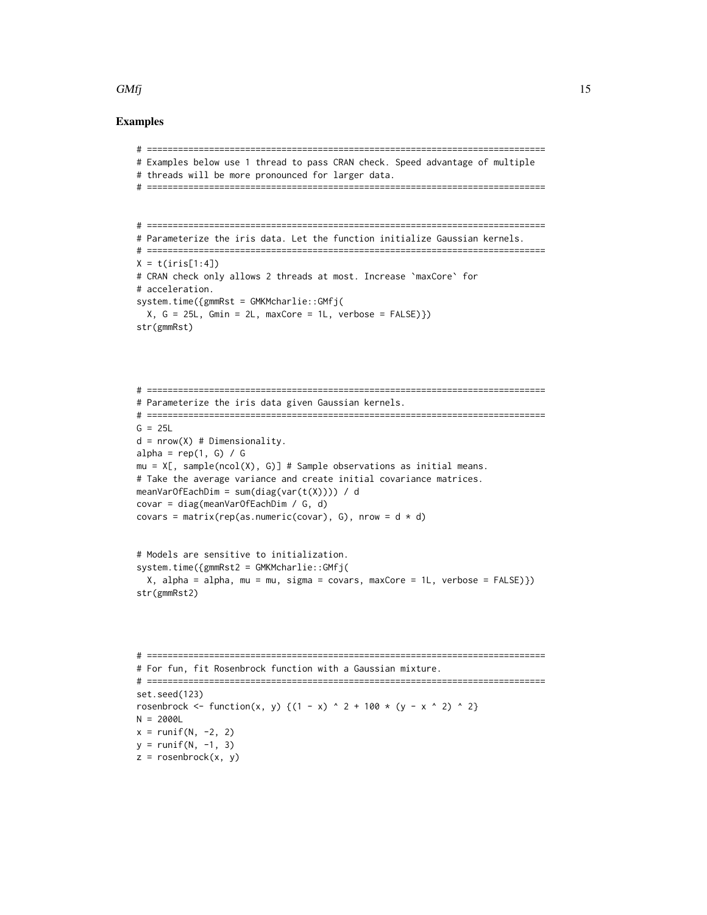#### $GMf$  15

```
# =============================================================================
# Examples below use 1 thread to pass CRAN check. Speed advantage of multiple
# threads will be more pronounced for larger data.
# =============================================================================
# =============================================================================
# Parameterize the iris data. Let the function initialize Gaussian kernels.
# =============================================================================
X = t(iris[1:4])# CRAN check only allows 2 threads at most. Increase `maxCore` for
# acceleration.
system.time({gmmRst = GMKMcharlie::GMfj(
  X, G = 25L, Gmin = 2L, maxCore = 1L, verbose = FALSE)str(gmmRst)
# =============================================================================
# Parameterize the iris data given Gaussian kernels.
# =============================================================================
G = 25Ld = nrow(X) # Dimensionality.
alpha = rep(1, G) / Gmu = X[, sample(ncol(X), G)] # Sample observations as initial means.
# Take the average variance and create initial covariance matrices.
meanVarOfEachDim = sum(diag(var(t(X)))) / d
covar = diag(meanVarOfEachDim / G, d)
covars = matrix(rep(as.numeric(covar), G), nrow = d * d)
# Models are sensitive to initialization.
system.time({gmmRst2 = GMKMcharlie::GMfj(
  X, alpha = alpha, mu = mu, sigma = covars, maxCore = 1L, verbose = FALSE)})
str(gmmRst2)
# =============================================================================
# For fun, fit Rosenbrock function with a Gaussian mixture.
# =============================================================================
set.seed(123)
rosenbrock <- function(x, y) {(1 - x) ^ 2 + 100 * (y - x ^ 2) ^ 2}
N = 2000L
x = runif(N, -2, 2)y = runif(N, -1, 3)z = rosenbrock(x, y)
```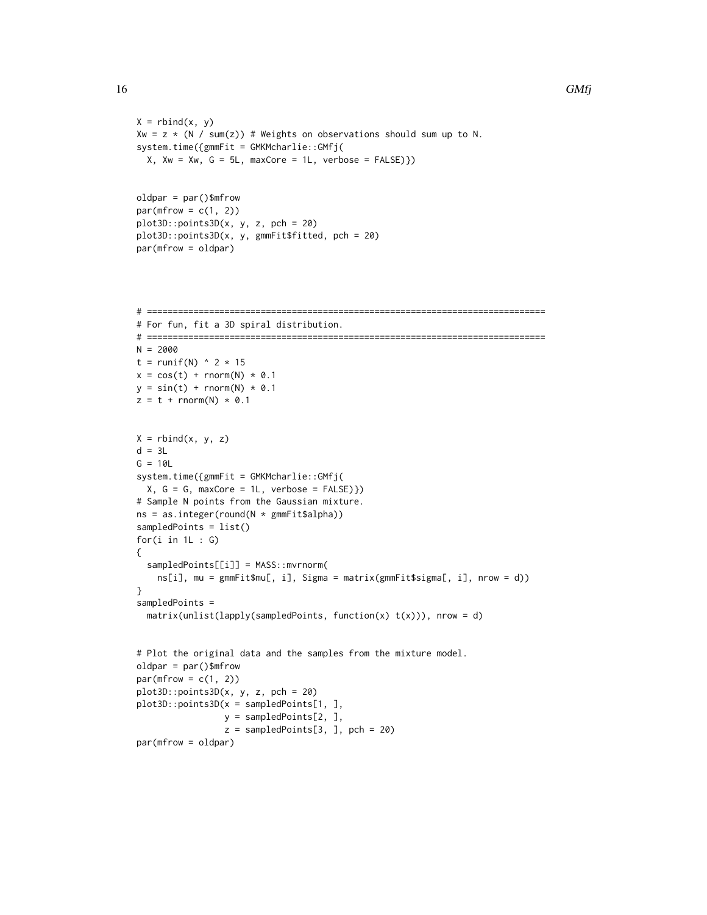```
X = \text{rbind}(x, y)Xw = z * (N / sum(z)) # Weights on observations should sum up to N.
system.time({gmmFit = GMKMcharlie::GMfj(
  X, Xw = Xw, G = 5L, maxCore = 1L, verbose = FALSE})oldpar = par()$mfrow
par(mfrow = c(1, 2))plot3D::points3D(x, y, z, pch = 20)
plot3D::points3D(x, y, gmmFit$fitted, pch = 20)
par(mfrow = oldpar)
# =============================================================================
# For fun, fit a 3D spiral distribution.
# =============================================================================
N = 2000
t = runif(N) \land 2 \star 15
x = cos(t) + rnorm(N) * 0.1y = sin(t) + rnorm(N) * 0.1z = t + \text{norm}(N) * 0.1X = rbind(x, y, z)
d = 3LG = 10Lsystem.time({gmmFit = GMKMcharlie::GMfj(
 X, G = G, maxCore = 1L, verbose = FALSE})# Sample N points from the Gaussian mixture.
ns = as.integer(round(N * gmmFit$alpha))
sampledPoints = list()
for(i in 1L : G)
{
  sampledPoints[[i]] = MASS::mvrnorm(
    ns[i], mu = gmmFit$mu[, i], Sigma = matrix(gmmFit$sigma[, i], nrow = d))
}
sampledPoints =
  matrix(unlist(lapply(sampledPoints, function(x) t(x))), nrow = d)
# Plot the original data and the samples from the mixture model.
oldpar = par()$mfrow
par(mfrow = c(1, 2))plot3D::points3D(x, y, z, pch = 20)
plot3D::points3D(x = sampledPoints[1, ],
                 y = sampledPoints[2, ],
                 z = sampledPoints[3, ], pch = 20)
```

```
par(mfrow = oldpar)
```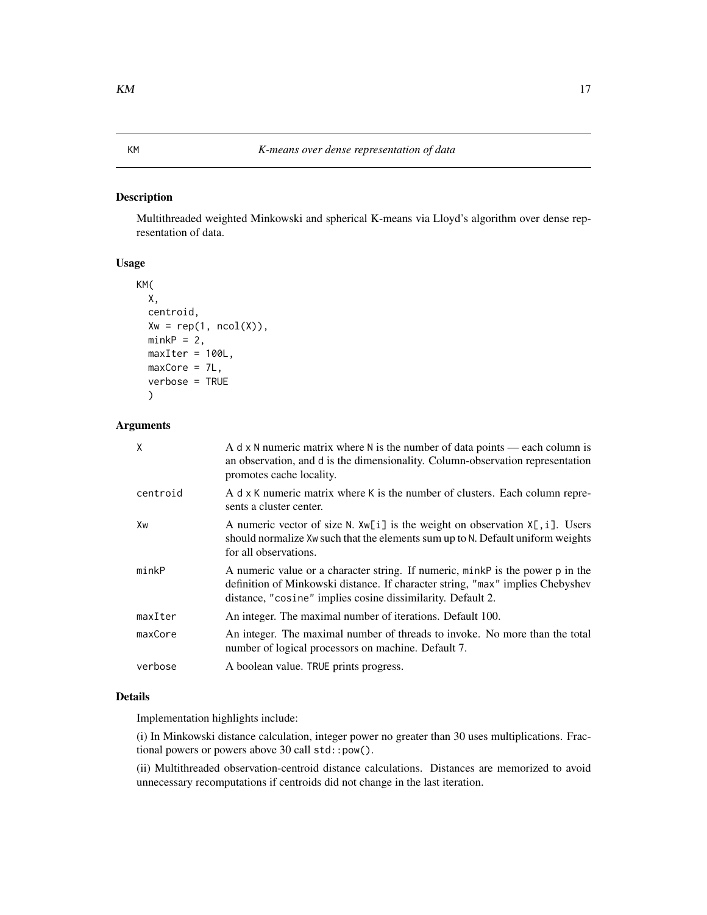## <span id="page-16-0"></span>Description

Multithreaded weighted Minkowski and spherical K-means via Lloyd's algorithm over dense representation of data.

## Usage

```
KM(
  X,
  centroid,
  Xw = rep(1, ncol(X)),minkP = 2,
  maxIter = 100L,maxCore = 7L,
  verbose = TRUE
  \mathcal{L}
```
# Arguments

| Χ        | A d $\times$ N numeric matrix where N is the number of data points — each column is<br>an observation, and d is the dimensionality. Column-observation representation<br>promotes cache locality.                               |
|----------|---------------------------------------------------------------------------------------------------------------------------------------------------------------------------------------------------------------------------------|
| centroid | A d x K numeric matrix where K is the number of clusters. Each column repre-<br>sents a cluster center.                                                                                                                         |
| Xw       | A numeric vector of size N. $Xw[i]$ is the weight on observation $X[i]$ . Users<br>should normalize Xw such that the elements sum up to N. Default uniform weights<br>for all observations.                                     |
| minkP    | A numeric value or a character string. If numeric, minkP is the power p in the<br>definition of Minkowski distance. If character string, "max" implies Chebyshev<br>distance, "cosine" implies cosine dissimilarity. Default 2. |
| maxIter  | An integer. The maximal number of iterations. Default 100.                                                                                                                                                                      |
| maxCore  | An integer. The maximal number of threads to invoke. No more than the total<br>number of logical processors on machine. Default 7.                                                                                              |
| verbose  | A boolean value. TRUE prints progress.                                                                                                                                                                                          |

# Details

Implementation highlights include:

(i) In Minkowski distance calculation, integer power no greater than 30 uses multiplications. Fractional powers or powers above 30 call std::pow().

(ii) Multithreaded observation-centroid distance calculations. Distances are memorized to avoid unnecessary recomputations if centroids did not change in the last iteration.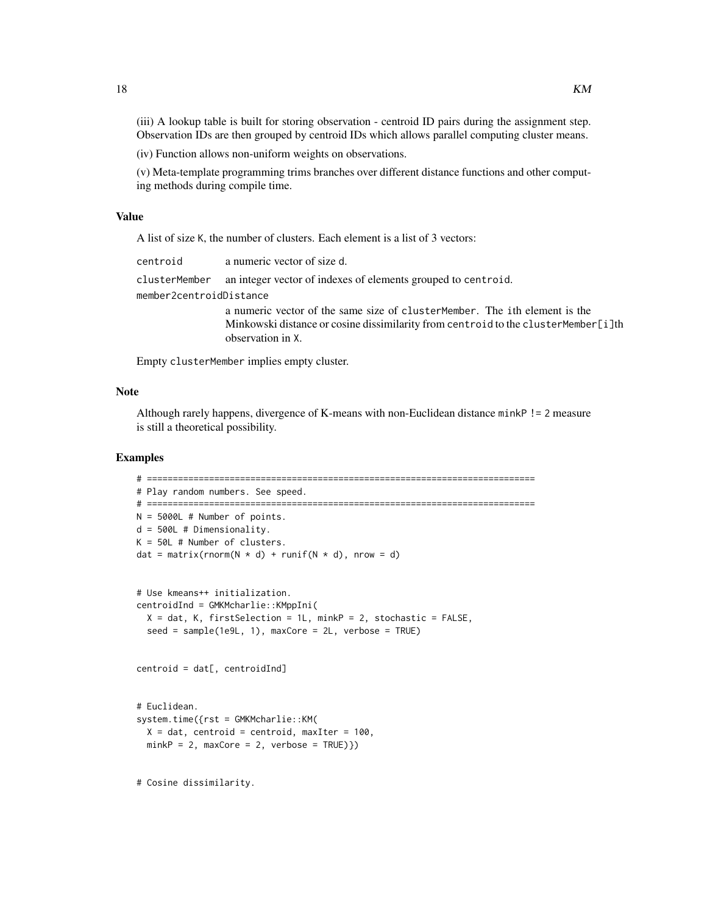(iii) A lookup table is built for storing observation - centroid ID pairs during the assignment step. Observation IDs are then grouped by centroid IDs which allows parallel computing cluster means.

(iv) Function allows non-uniform weights on observations.

(v) Meta-template programming trims branches over different distance functions and other computing methods during compile time.

#### Value

A list of size K, the number of clusters. Each element is a list of 3 vectors:

| centroid                | a numeric vector of size d.                                                           |
|-------------------------|---------------------------------------------------------------------------------------|
|                         | clusterMember an integer vector of indexes of elements grouped to centroid.           |
| member2centroidDistance |                                                                                       |
|                         | a numeric vector of the same size of cluster Member. The ith element is the           |
|                         | Minkowski distance or cosine dissimilarity from centroid to the cluster Member [i] th |
|                         | observation in X.                                                                     |

Empty clusterMember implies empty cluster.

#### Note

Although rarely happens, divergence of K-means with non-Euclidean distance minkP != 2 measure is still a theoretical possibility.

```
# ===========================================================================
# Play random numbers. See speed.
# ===========================================================================
N = 5000L # Number of points.
d = 500L # Dimensionality.
K = 50L # Number of clusters.
dat = matrix(rnorm(N \times d) + runif(N \times d), nrow = d)
# Use kmeans++ initialization.
centroidInd = GMKMcharlie::KMppIni(
  X = dat, K, firstSelection = 1L, minkP = 2, stochastic = FALSE,seed = sample(1e9L, 1), maxCore = 2L, verbose = TRUE)
centroid = dat[, centroidInd]
# Euclidean.
system.time({rst = GMKMcharlie::KM(
  X = dat, centroid = centroid, maxIter = 100,
  minkP = 2, maxCore = 2, verbose = TRUE})# Cosine dissimilarity.
```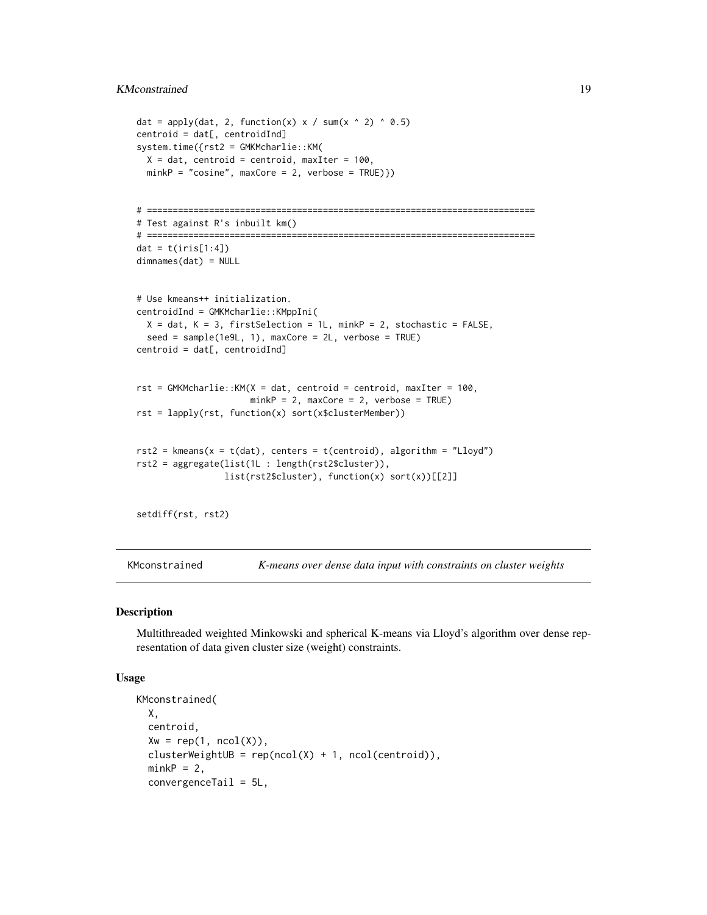# <span id="page-18-0"></span>KMconstrained 19

```
dat = apply(dat, 2, function(x) x / sum(x \land 2) \land 0.5)
centroid = dat[, centroidInd]
system.time({rst2 = GMKMcharlie::KM(
 X = dat, centroid = centroid, maxIter = 100,
 minkP = "cosine", maxCore = 2, verbose = TRUE})# ===========================================================================
# Test against R's inbuilt km()
# ===========================================================================
dat = t(iris[1:4])dimnames(dat) = NULL
# Use kmeans++ initialization.
centroidInd = GMKMcharlie::KMppIni(
 X = dat, K = 3, firstSelection = 1L, minkP = 2, stochastic = FALSE,seed = sample(1e9L, 1), maxCore = 2L, verbose = TRUE)
centroid = dat[, centroidInd]
rst = GMKMcharlie::KM(X = dat, centroid = centroid, maxIter = 100,minkP = 2, maxCore = 2, verbose = TRUE)
rst = lapply(rst, function(x) sort(x$clusterMember))
rst2 = kmeans(x = t(data), centers = t(centroid), algorithm = "Lloyd")rst2 = aggregate(list(1L : length(rst2$cluster)),
                 list(rst2$cluster), function(x) sort(x))[[2]]
setdiff(rst, rst2)
```
KMconstrained *K-means over dense data input with constraints on cluster weights*

#### Description

Multithreaded weighted Minkowski and spherical K-means via Lloyd's algorithm over dense representation of data given cluster size (weight) constraints.

#### Usage

```
KMconstrained(
 X,
 centroid,
 Xw = rep(1, ncol(X)).clusterWeightUB = rep(ncol(X) + 1, ncol(centroid)),minkP = 2,
 convergenceTail = 5L,
```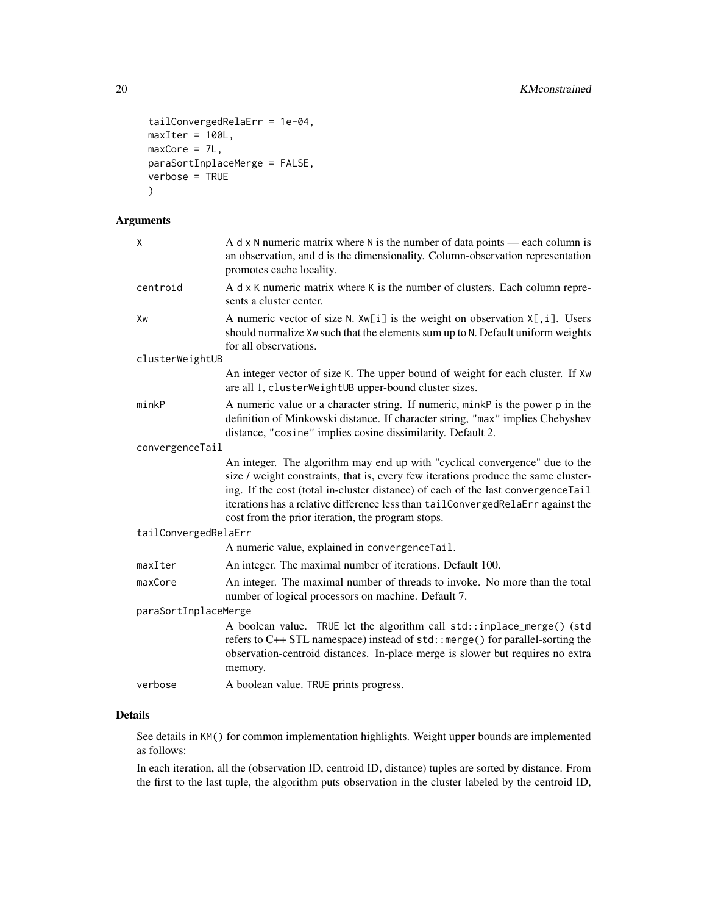```
tailConvergedRelaErr = 1e-04,
maxIter = 100L,maxCore = 7L,
paraSortInplaceMerge = FALSE,
verbose = TRUE
)
```
# Arguments

| χ                    | A $d \times N$ numeric matrix where N is the number of data points — each column is<br>an observation, and d is the dimensionality. Column-observation representation<br>promotes cache locality.                                                                                                                                                                                             |
|----------------------|-----------------------------------------------------------------------------------------------------------------------------------------------------------------------------------------------------------------------------------------------------------------------------------------------------------------------------------------------------------------------------------------------|
| centroid             | A d x K numeric matrix where K is the number of clusters. Each column repre-<br>sents a cluster center.                                                                                                                                                                                                                                                                                       |
| Xw                   | A numeric vector of size N. $Xw[i]$ is the weight on observation $X[i]$ . Users<br>should normalize Xw such that the elements sum up to N. Default uniform weights<br>for all observations.                                                                                                                                                                                                   |
| clusterWeightUB      |                                                                                                                                                                                                                                                                                                                                                                                               |
|                      | An integer vector of size K. The upper bound of weight for each cluster. If Xw<br>are all 1, clusterWeightUB upper-bound cluster sizes.                                                                                                                                                                                                                                                       |
| minkP                | A numeric value or a character string. If numeric, minkP is the power p in the<br>definition of Minkowski distance. If character string, "max" implies Chebyshev<br>distance, "cosine" implies cosine dissimilarity. Default 2.                                                                                                                                                               |
| convergenceTail      |                                                                                                                                                                                                                                                                                                                                                                                               |
|                      | An integer. The algorithm may end up with "cyclical convergence" due to the<br>size / weight constraints, that is, every few iterations produce the same cluster-<br>ing. If the cost (total in-cluster distance) of each of the last convergenceTail<br>iterations has a relative difference less than tailConvergedRelaErr against the<br>cost from the prior iteration, the program stops. |
| tailConvergedRelaErr |                                                                                                                                                                                                                                                                                                                                                                                               |
|                      | A numeric value, explained in convergenceTail.                                                                                                                                                                                                                                                                                                                                                |
| maxIter              | An integer. The maximal number of iterations. Default 100.                                                                                                                                                                                                                                                                                                                                    |
| maxCore              | An integer. The maximal number of threads to invoke. No more than the total<br>number of logical processors on machine. Default 7.                                                                                                                                                                                                                                                            |
| paraSortInplaceMerge |                                                                                                                                                                                                                                                                                                                                                                                               |
|                      | A boolean value. TRUE let the algorithm call std::inplace_merge() (std<br>refers to C++ STL namespace) instead of std:: merge() for parallel-sorting the<br>observation-centroid distances. In-place merge is slower but requires no extra<br>memory.                                                                                                                                         |
| verbose              | A boolean value. TRUE prints progress.                                                                                                                                                                                                                                                                                                                                                        |
|                      |                                                                                                                                                                                                                                                                                                                                                                                               |

# Details

See details in KM() for common implementation highlights. Weight upper bounds are implemented as follows:

In each iteration, all the (observation ID, centroid ID, distance) tuples are sorted by distance. From the first to the last tuple, the algorithm puts observation in the cluster labeled by the centroid ID,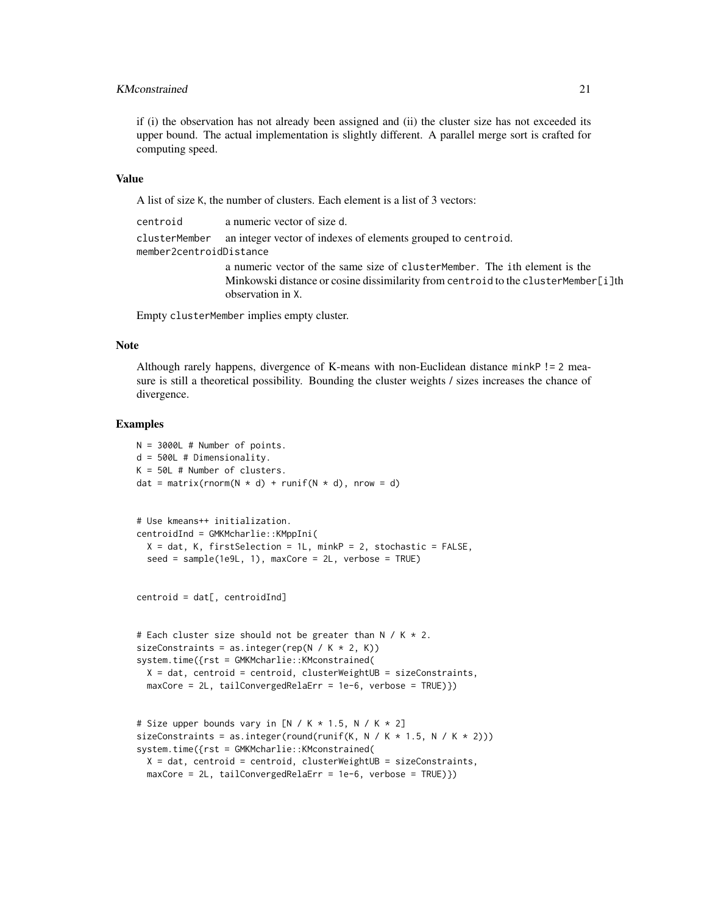# KMconstrained 21

if (i) the observation has not already been assigned and (ii) the cluster size has not exceeded its upper bound. The actual implementation is slightly different. A parallel merge sort is crafted for computing speed.

#### Value

A list of size K, the number of clusters. Each element is a list of 3 vectors:

centroid a numeric vector of size d. clusterMember an integer vector of indexes of elements grouped to centroid. member2centroidDistance a numeric vector of the same size of clusterMember. The ith element is the Minkowski distance or cosine dissimilarity from centroid to the clusterMember[i]th observation in X.

Empty clusterMember implies empty cluster.

#### Note

Although rarely happens, divergence of K-means with non-Euclidean distance minkP != 2 measure is still a theoretical possibility. Bounding the cluster weights / sizes increases the chance of divergence.

```
N = 3000L # Number of points.
d = 500L # Dimensionality.
K = 50L # Number of clusters.
dat = matrix(rnorm(N * d) + runif(N * d), nrow = d)
# Use kmeans++ initialization.
centroidInd = GMKMcharlie::KMppIni(
  X = dat, K, firstSelection = 1L, minkP = 2, stochastic = FALSE,
  seed = sample(1e9L, 1), maxCore = 2L, verbose = TRUE)
centroid = dat[, centroidInd]
# Each cluster size should not be greater than N / K * 2.
sizeConstraints = as.integer(rep(N / K * 2, K))
system.time({rst = GMKMcharlie::KMconstrained(
  X = dat, centroid = centroid, clusterWeightUB = sizeConstraints,
```

```
maxCore = 2L, tailConvergedRelaErr = 1e-6, verbose = TRUE)})
```

```
# Size upper bounds vary in [N / K * 1.5, N / K * 2]sizeConstraints = as.integer(round(runif(K, N / K * 1.5, N / K * 2)))
system.time({rst = GMKMcharlie::KMconstrained(
 X = dat, centroid = centroid, clusterWeightUB = sizeConstraints,
 maxCore = 2L, tailConvergedRelaErr = 1e-6, verbose = TRUE)})
```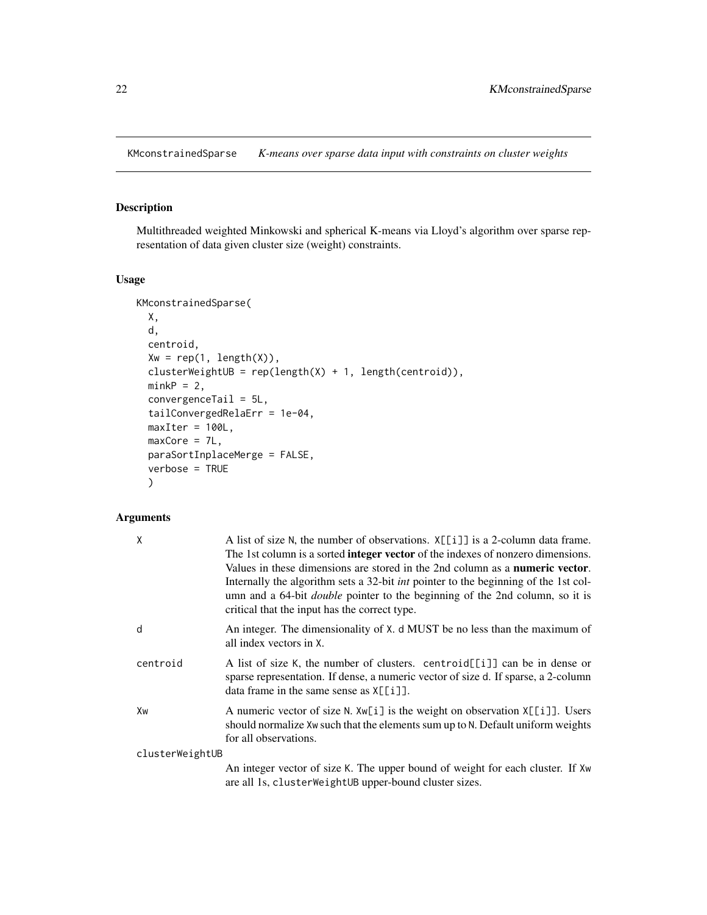<span id="page-21-0"></span>KMconstrainedSparse *K-means over sparse data input with constraints on cluster weights*

# Description

Multithreaded weighted Minkowski and spherical K-means via Lloyd's algorithm over sparse representation of data given cluster size (weight) constraints.

# Usage

```
KMconstrainedSparse(
 X,
 d,
 centroid,
 Xw = rep(1, length(X)),clusterWeightUB = rep(length(X) + 1, length(centroid)),minkP = 2,
 convergenceTail = 5L,
  tailConvergedRelaErr = 1e-04,
 maxIter = 100L,maxCore = 7L,
 paraSortInplaceMerge = FALSE,
  verbose = TRUE
  )
```

| Χ               | A list of size N, the number of observations. $X[[i]]$ is a 2-column data frame.<br>The 1st column is a sorted <b>integer vector</b> of the indexes of nonzero dimensions.<br>Values in these dimensions are stored in the 2nd column as a <b>numeric vector</b> .<br>Internally the algorithm sets a 32-bit <i>int</i> pointer to the beginning of the 1st col-<br>umn and a 64-bit <i>double</i> pointer to the beginning of the 2nd column, so it is<br>critical that the input has the correct type. |
|-----------------|----------------------------------------------------------------------------------------------------------------------------------------------------------------------------------------------------------------------------------------------------------------------------------------------------------------------------------------------------------------------------------------------------------------------------------------------------------------------------------------------------------|
| d               | An integer. The dimensionality of X. d MUST be no less than the maximum of<br>all index vectors in X.                                                                                                                                                                                                                                                                                                                                                                                                    |
| centroid        | A list of size K, the number of clusters. centroid[[i]] can be in dense or<br>sparse representation. If dense, a numeric vector of size d. If sparse, a 2-column<br>data frame in the same sense as $X[\lceil i \rceil]$ .                                                                                                                                                                                                                                                                               |
| Xw              | A numeric vector of size N. Xw[i] is the weight on observation X[[i]]. Users<br>should normalize Xw such that the elements sum up to N. Default uniform weights<br>for all observations.                                                                                                                                                                                                                                                                                                                 |
| clusterWeightUB |                                                                                                                                                                                                                                                                                                                                                                                                                                                                                                          |
|                 | An integer vector of size K. The upper bound of weight for each cluster. If Xw<br>are all 1s, cluster WeightUB upper-bound cluster sizes.                                                                                                                                                                                                                                                                                                                                                                |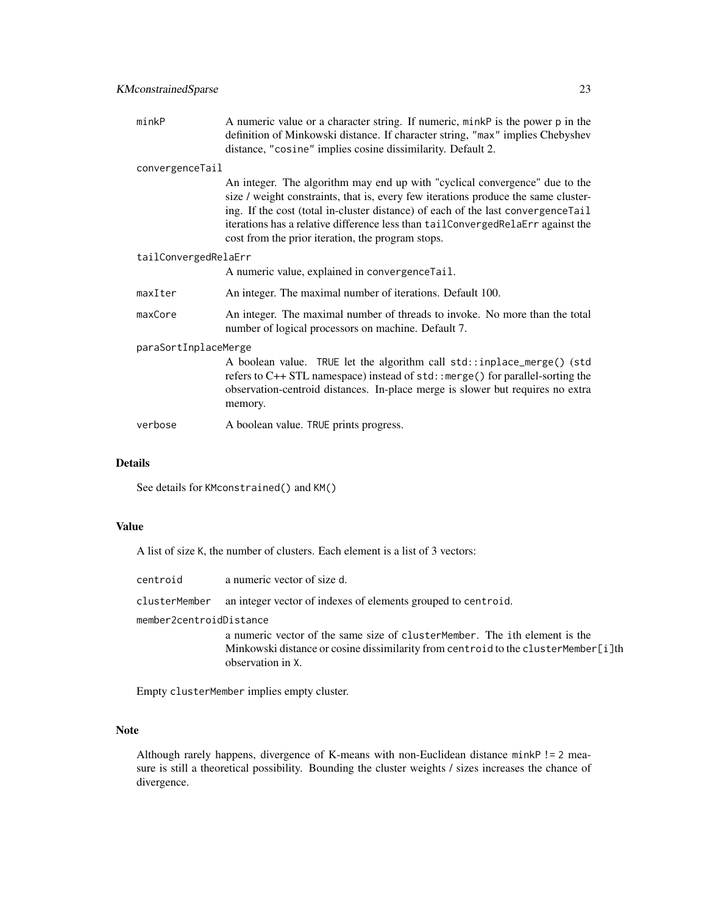| minkP                | A numeric value or a character string. If numeric, minkP is the power p in the<br>definition of Minkowski distance. If character string, "max" implies Chebyshev<br>distance, "cosine" implies cosine dissimilarity. Default 2.                                                                                                                                                                |  |
|----------------------|------------------------------------------------------------------------------------------------------------------------------------------------------------------------------------------------------------------------------------------------------------------------------------------------------------------------------------------------------------------------------------------------|--|
| convergenceTail      |                                                                                                                                                                                                                                                                                                                                                                                                |  |
|                      | An integer. The algorithm may end up with "cyclical convergence" due to the<br>size / weight constraints, that is, every few iterations produce the same cluster-<br>ing. If the cost (total in-cluster distance) of each of the last convergence Tail<br>iterations has a relative difference less than tailConvergedRelaErr against the<br>cost from the prior iteration, the program stops. |  |
| tailConvergedRelaErr |                                                                                                                                                                                                                                                                                                                                                                                                |  |
|                      | A numeric value, explained in convergence Tail.                                                                                                                                                                                                                                                                                                                                                |  |
| maxIter              | An integer. The maximal number of iterations. Default 100.                                                                                                                                                                                                                                                                                                                                     |  |
| maxCore              | An integer. The maximal number of threads to invoke. No more than the total<br>number of logical processors on machine. Default 7.                                                                                                                                                                                                                                                             |  |
| paraSortInplaceMerge |                                                                                                                                                                                                                                                                                                                                                                                                |  |
|                      | A boolean value. TRUE let the algorithm call std::inplace_merge() (std<br>refers to C++ STL namespace) instead of std:: merge() for parallel-sorting the<br>observation-centroid distances. In-place merge is slower but requires no extra<br>memory.                                                                                                                                          |  |
| verbose              | A boolean value. TRUE prints progress.                                                                                                                                                                                                                                                                                                                                                         |  |

# Details

See details for KMconstrained() and KM()

# Value

A list of size K, the number of clusters. Each element is a list of 3 vectors:

| centroid | a numeric vector of size d.                                                 |
|----------|-----------------------------------------------------------------------------|
|          | clusterMember an integer vector of indexes of elements grouped to centroid. |

member2centroidDistance

a numeric vector of the same size of clusterMember. The ith element is the Minkowski distance or cosine dissimilarity from centroid to the clusterMember[i]th observation in X.

Empty clusterMember implies empty cluster.

#### Note

Although rarely happens, divergence of K-means with non-Euclidean distance minkP != 2 measure is still a theoretical possibility. Bounding the cluster weights / sizes increases the chance of divergence.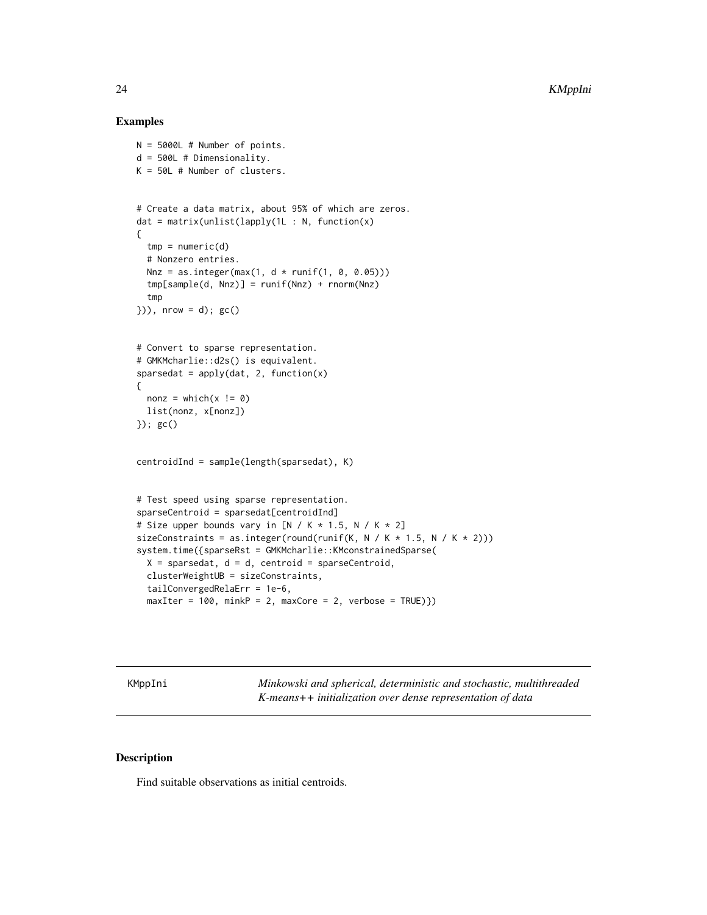#### Examples

```
N = 5000L # Number of points.
d = 500L # Dimensionality.
K = 50L # Number of clusters.
# Create a data matrix, about 95% of which are zeros.
dat = matrix(unlist(lapply(1L : N, function(x)
{
  tmp = numeric(d)# Nonzero entries.
  Nnz = as.integer(max(1, d * runif(1, 0, 0.05)))tmp[sample(d, Nnz)] = runif(Nnz) + rnorm(Nnz)
  tmp
\rangle)), nrow = d); gc()
# Convert to sparse representation.
# GMKMcharlie::d2s() is equivalent.
sparsedat = apply(data, 2, function(x){
  nonz = which(x != 0)list(nonz, x[nonz])
}); gc()
centroidInd = sample(length(sparsedat), K)
# Test speed using sparse representation.
sparseCentroid = sparsedat[centroidInd]
# Size upper bounds vary in [N / K * 1.5, N / K * 2]sizeConstraints = as.integer(round(runif(K, N / K * 1.5, N / K * 2)))
system.time({sparseRst = GMKMcharlie::KMconstrainedSparse(
  X = sparsedat, d = d, centroid = sparseCentroid,
  clusterWeightUB = sizeConstraints,
  tailConvergedRelaErr = 1e-6,
  maxIter = 100, minkP = 2, maxCore = 2, verbose = TRUE})
```
KMppIni *Minkowski and spherical, deterministic and stochastic, multithreaded K-means++ initialization over dense representation of data*

# Description

Find suitable observations as initial centroids.

<span id="page-23-0"></span>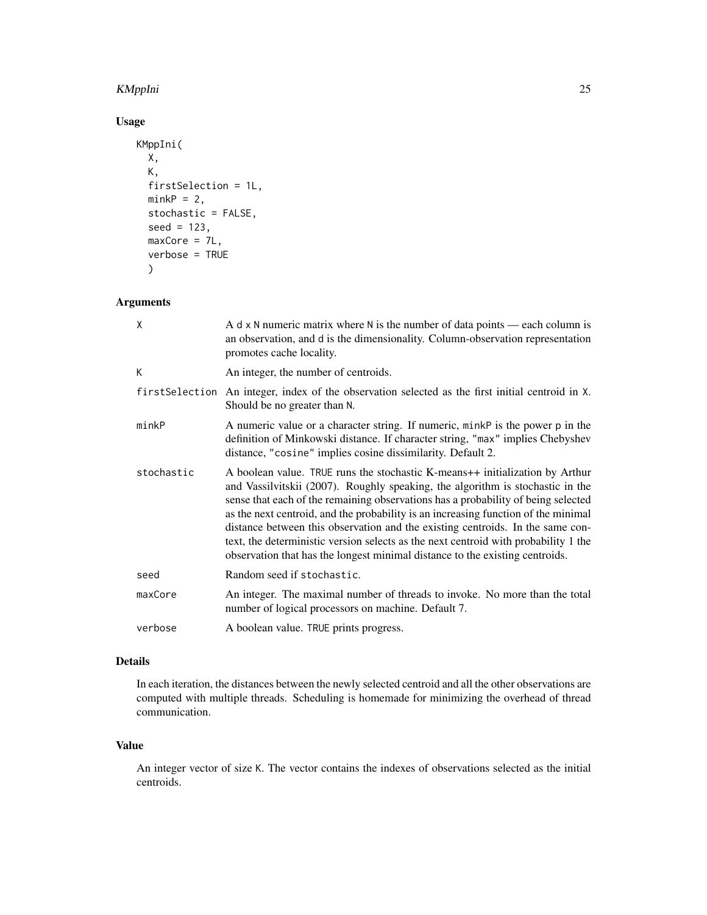#### KMppIni 25

# Usage

```
KMppIni(
  X,
  K,
  firstSelection = 1L,
  minkP = 2,
  stochastic = FALSE,
  seed = 123,
  maxCore = 7L,
  verbose = TRUE
  \mathcal{L}
```
# Arguments

| X              | A $d \times N$ numeric matrix where N is the number of data points — each column is<br>an observation, and d is the dimensionality. Column-observation representation<br>promotes cache locality.                                                                                                                                                                                                                                                                                                                                                                                                  |
|----------------|----------------------------------------------------------------------------------------------------------------------------------------------------------------------------------------------------------------------------------------------------------------------------------------------------------------------------------------------------------------------------------------------------------------------------------------------------------------------------------------------------------------------------------------------------------------------------------------------------|
| К              | An integer, the number of centroids.                                                                                                                                                                                                                                                                                                                                                                                                                                                                                                                                                               |
| firstSelection | An integer, index of the observation selected as the first initial centroid in X.<br>Should be no greater than N.                                                                                                                                                                                                                                                                                                                                                                                                                                                                                  |
| minkP          | A numeric value or a character string. If numeric, minkP is the power p in the<br>definition of Minkowski distance. If character string, "max" implies Chebyshev<br>distance, "cosine" implies cosine dissimilarity. Default 2.                                                                                                                                                                                                                                                                                                                                                                    |
| stochastic     | A boolean value. TRUE runs the stochastic K-means++ initialization by Arthur<br>and Vassilvitskii (2007). Roughly speaking, the algorithm is stochastic in the<br>sense that each of the remaining observations has a probability of being selected<br>as the next centroid, and the probability is an increasing function of the minimal<br>distance between this observation and the existing centroids. In the same con-<br>text, the deterministic version selects as the next centroid with probability 1 the<br>observation that has the longest minimal distance to the existing centroids. |
| seed           | Random seed if stochastic.                                                                                                                                                                                                                                                                                                                                                                                                                                                                                                                                                                         |
| maxCore        | An integer. The maximal number of threads to invoke. No more than the total<br>number of logical processors on machine. Default 7.                                                                                                                                                                                                                                                                                                                                                                                                                                                                 |
| verbose        | A boolean value. TRUE prints progress.                                                                                                                                                                                                                                                                                                                                                                                                                                                                                                                                                             |

# Details

In each iteration, the distances between the newly selected centroid and all the other observations are computed with multiple threads. Scheduling is homemade for minimizing the overhead of thread communication.

# Value

An integer vector of size K. The vector contains the indexes of observations selected as the initial centroids.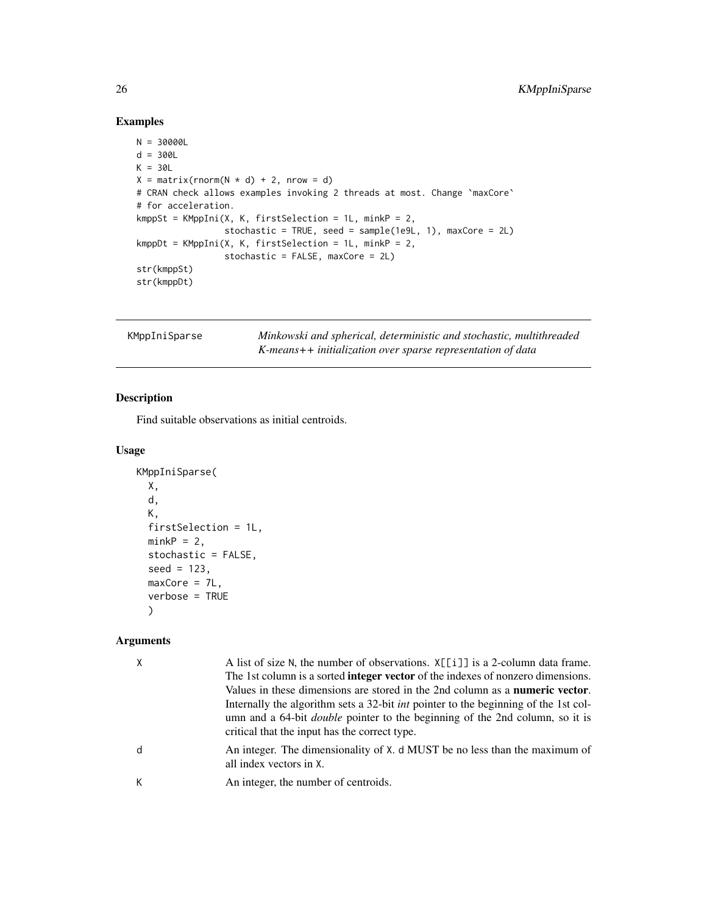# Examples

```
N = 30000L
d = 300LK = 30LX = matrix(rnorm(N * d) + 2, nrow = d)# CRAN check allows examples invoking 2 threads at most. Change `maxCore`
# for acceleration.
kmppSt = KMppIni(X, K, firstSelection = 1L, minkP = 2,
                 stochastic = TRUE, seed = sample(1e9L, 1), maxCore = 2L)
kmppDt = KMppIni(X, K, firstSelection = 1L, minkP = 2,
                 stochastic = FALSE, maxCore = 2L)
str(kmppSt)
str(kmppDt)
```
KMppIniSparse *Minkowski and spherical, deterministic and stochastic, multithreaded K-means++ initialization over sparse representation of data*

# Description

Find suitable observations as initial centroids.

# Usage

```
KMppIniSparse(
 X,
 d,
 K,
 firstSelection = 1L,
 minkP = 2,
  stochastic = FALSE,
  seed = 123,
 maxCore = 7L,
 verbose = TRUE
  )
```

|   | A list of size N, the number of observations. $X[\iota]$ is a 2-column data frame.<br>The 1st column is a sorted <b>integer vector</b> of the indexes of nonzero dimensions.<br>Values in these dimensions are stored in the 2nd column as a <b>numeric vector</b> .<br>Internally the algorithm sets a 32-bit <i>int</i> pointer to the beginning of the 1st col-<br>umn and a 64-bit <i>double</i> pointer to the beginning of the 2nd column, so it is<br>critical that the input has the correct type. |
|---|------------------------------------------------------------------------------------------------------------------------------------------------------------------------------------------------------------------------------------------------------------------------------------------------------------------------------------------------------------------------------------------------------------------------------------------------------------------------------------------------------------|
| d | An integer. The dimensionality of X. d MUST be no less than the maximum of<br>all index vectors in X.                                                                                                                                                                                                                                                                                                                                                                                                      |
|   | An integer, the number of centroids.                                                                                                                                                                                                                                                                                                                                                                                                                                                                       |

<span id="page-25-0"></span>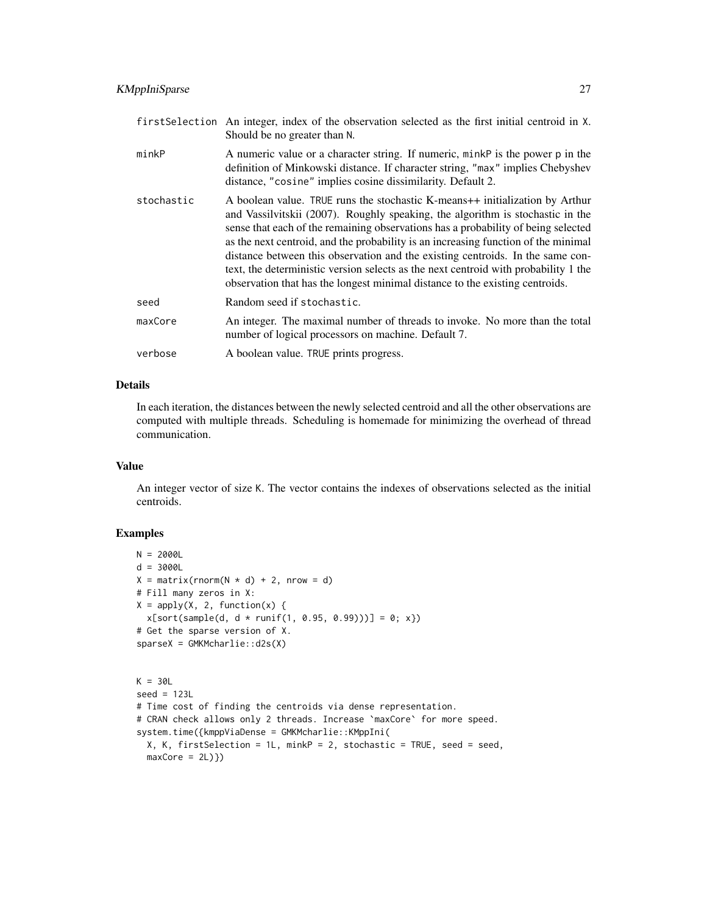|            | first Selection An integer, index of the observation selected as the first initial centroid in X.<br>Should be no greater than N.                                                                                                                                                                                                                                                                                                                                                                                                                                                                  |
|------------|----------------------------------------------------------------------------------------------------------------------------------------------------------------------------------------------------------------------------------------------------------------------------------------------------------------------------------------------------------------------------------------------------------------------------------------------------------------------------------------------------------------------------------------------------------------------------------------------------|
| minkP      | A numeric value or a character string. If numeric, minkP is the power p in the<br>definition of Minkowski distance. If character string, "max" implies Chebyshev<br>distance, "cosine" implies cosine dissimilarity. Default 2.                                                                                                                                                                                                                                                                                                                                                                    |
| stochastic | A boolean value. TRUE runs the stochastic K-means++ initialization by Arthur<br>and Vassilvitskii (2007). Roughly speaking, the algorithm is stochastic in the<br>sense that each of the remaining observations has a probability of being selected<br>as the next centroid, and the probability is an increasing function of the minimal<br>distance between this observation and the existing centroids. In the same con-<br>text, the deterministic version selects as the next centroid with probability 1 the<br>observation that has the longest minimal distance to the existing centroids. |
| seed       | Random seed if stochastic.                                                                                                                                                                                                                                                                                                                                                                                                                                                                                                                                                                         |
| maxCore    | An integer. The maximal number of threads to invoke. No more than the total<br>number of logical processors on machine. Default 7.                                                                                                                                                                                                                                                                                                                                                                                                                                                                 |
| verbose    | A boolean value. TRUE prints progress.                                                                                                                                                                                                                                                                                                                                                                                                                                                                                                                                                             |

# Details

In each iteration, the distances between the newly selected centroid and all the other observations are computed with multiple threads. Scheduling is homemade for minimizing the overhead of thread communication.

#### Value

An integer vector of size K. The vector contains the indexes of observations selected as the initial centroids.

```
N = 2000Ld = 3000L
X = matrix(rnorm(N * d) + 2, nrow = d)# Fill many zeros in X:
X = apply(X, 2, function(x))x[sort(sample(d, d * runif(1, 0.95, 0.99)))] = 0; x})# Get the sparse version of X.
sparseX = GMKMcharlie::d2s(X)
K = 30Lseed = 123L
# Time cost of finding the centroids via dense representation.
# CRAN check allows only 2 threads. Increase `maxCore` for more speed.
system.time({kmppViaDense = GMKMcharlie::KMppIni(
  X, K, firstSelection = 1L, minkP = 2, stochastic = TRUE, seed = seed,
  maxCore = 2L)})
```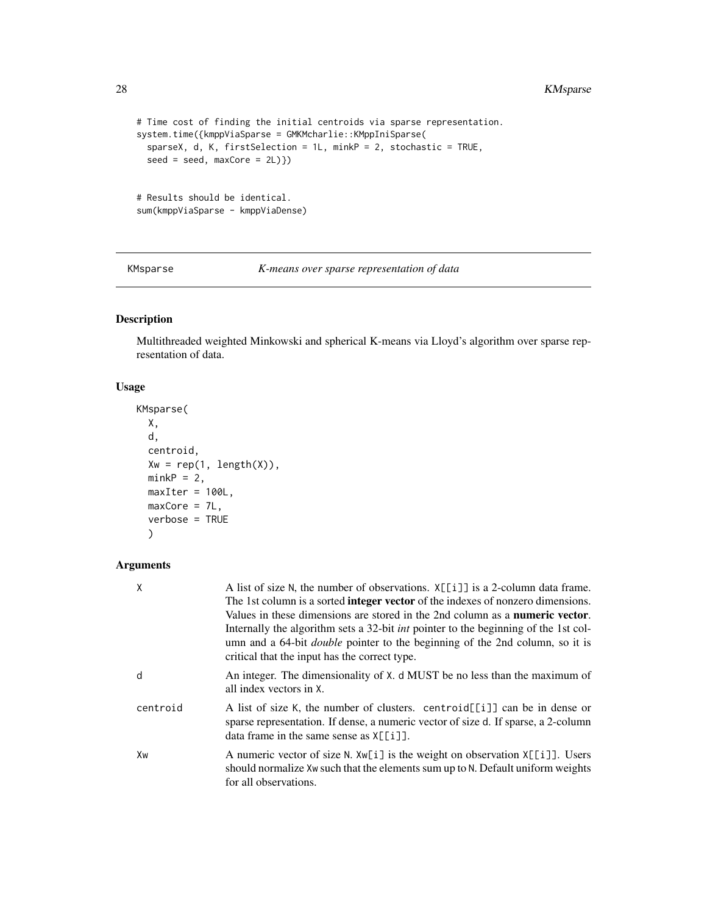```
# Time cost of finding the initial centroids via sparse representation.
system.time({kmppViaSparse = GMKMcharlie::KMppIniSparse(
  sparseX, d, K, firstSelection = 1L, minkP = 2, stochastic = TRUE,
  seed = seed, maxCore = 2L)})
# Results should be identical.
sum(kmppViaSparse - kmppViaDense)
```
KMsparse *K-means over sparse representation of data*

# Description

Multithreaded weighted Minkowski and spherical K-means via Lloyd's algorithm over sparse representation of data.

#### Usage

```
KMsparse(
 X,
  d,
  centroid,
  Xw = rep(1, length(X)),minkP = 2,
 maxIter = 100L,maxCore = 7L,
  verbose = TRUE
  )
```

| X        | A list of size N, the number of observations. $X[\iota]$ is a 2-column data frame.<br>The 1st column is a sorted <b>integer vector</b> of the indexes of nonzero dimensions.<br>Values in these dimensions are stored in the 2nd column as a <b>numeric vector</b> .<br>Internally the algorithm sets a 32-bit <i>int</i> pointer to the beginning of the 1st col-<br>umn and a 64-bit <i>double</i> pointer to the beginning of the 2nd column, so it is<br>critical that the input has the correct type. |
|----------|------------------------------------------------------------------------------------------------------------------------------------------------------------------------------------------------------------------------------------------------------------------------------------------------------------------------------------------------------------------------------------------------------------------------------------------------------------------------------------------------------------|
| d        | An integer. The dimensionality of X. d MUST be no less than the maximum of<br>all index vectors in X.                                                                                                                                                                                                                                                                                                                                                                                                      |
| centroid | A list of size K, the number of clusters. centroid [[i]] can be in dense or<br>sparse representation. If dense, a numeric vector of size d. If sparse, a 2-column<br>data frame in the same sense as $X[\lfloor i \rfloor]$ .                                                                                                                                                                                                                                                                              |
| Xw       | A numeric vector of size N. Xw[i] is the weight on observation X[[i]]. Users<br>should normalize Xw such that the elements sum up to N. Default uniform weights<br>for all observations.                                                                                                                                                                                                                                                                                                                   |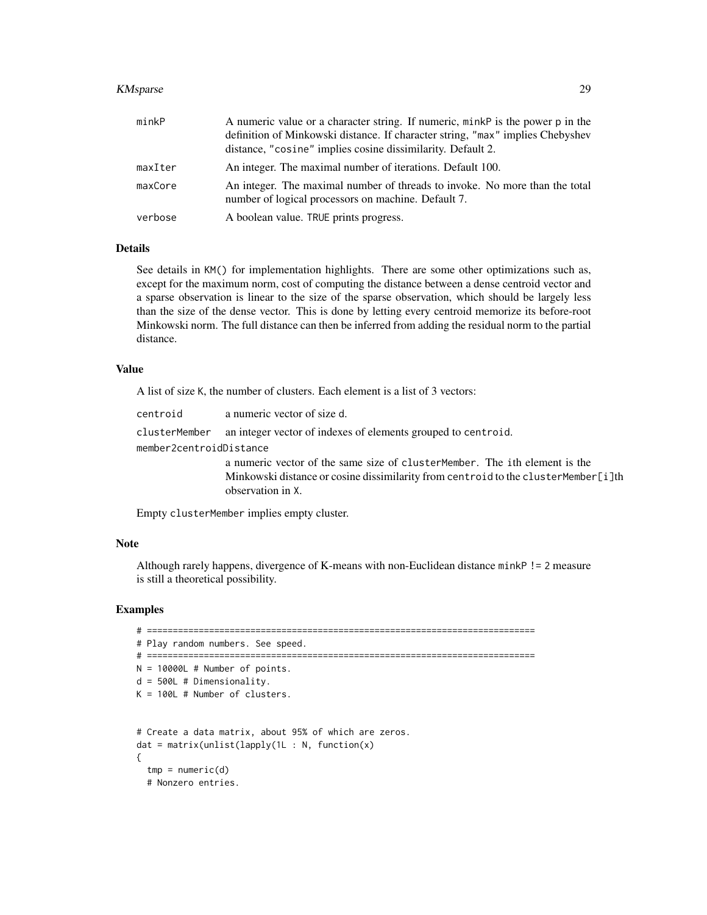#### KMsparse 29

| minkP   | A numeric value or a character string. If numeric, minkP is the power p in the<br>definition of Minkowski distance. If character string, "max" implies Chebyshev<br>distance, "cosine" implies cosine dissimilarity. Default 2. |
|---------|---------------------------------------------------------------------------------------------------------------------------------------------------------------------------------------------------------------------------------|
| maxIter | An integer. The maximal number of iterations. Default 100.                                                                                                                                                                      |
| maxCore | An integer. The maximal number of threads to invoke. No more than the total<br>number of logical processors on machine. Default 7.                                                                                              |
| verbose | A boolean value. TRUE prints progress.                                                                                                                                                                                          |

#### Details

See details in KM() for implementation highlights. There are some other optimizations such as, except for the maximum norm, cost of computing the distance between a dense centroid vector and a sparse observation is linear to the size of the sparse observation, which should be largely less than the size of the dense vector. This is done by letting every centroid memorize its before-root Minkowski norm. The full distance can then be inferred from adding the residual norm to the partial distance.

## Value

A list of size K, the number of clusters. Each element is a list of 3 vectors:

| a numeric vector of size d.<br>centroid                                               |  |  |
|---------------------------------------------------------------------------------------|--|--|
| clusterMember an integer vector of indexes of elements grouped to centroid.           |  |  |
| member2centroidDistance                                                               |  |  |
| a numeric vector of the same size of cluster Member. The ith element is the           |  |  |
| Minkowski distance or cosine dissimilarity from centroid to the cluster Member [i] th |  |  |
| observation in X.                                                                     |  |  |

Empty clusterMember implies empty cluster.

#### Note

Although rarely happens, divergence of K-means with non-Euclidean distance minkP != 2 measure is still a theoretical possibility.

```
# ===========================================================================
# Play random numbers. See speed.
# ===========================================================================
N = 10000L # Number of points.
d = 500L # Dimensionality.
K = 100L # Number of clusters.
# Create a data matrix, about 95% of which are zeros.
dat = matrix(unlist(lapply(1L : N, function(x)){
  tmp = numeric(d)# Nonzero entries.
```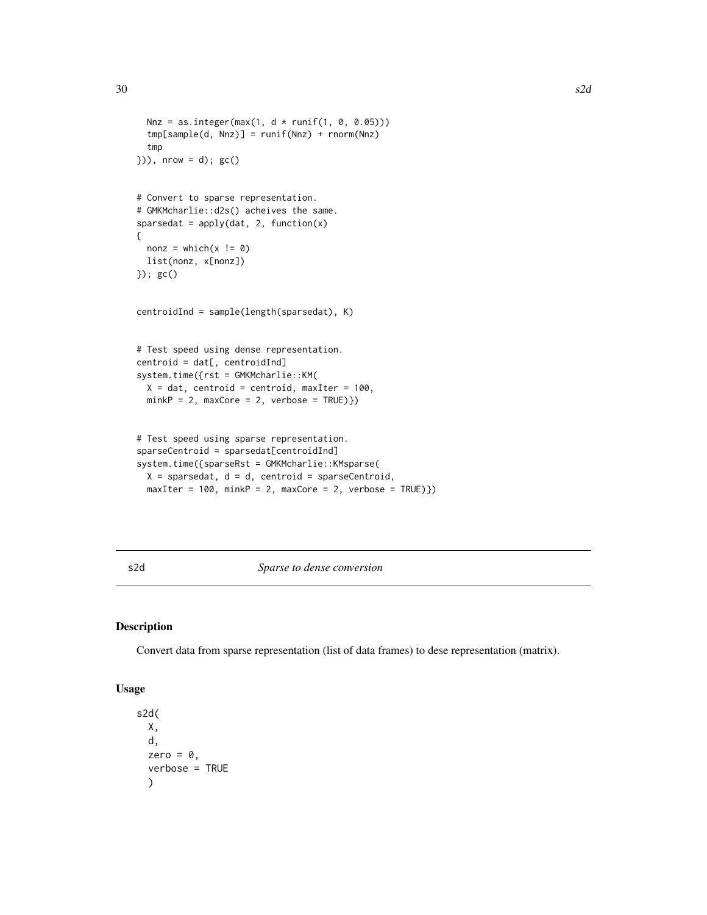```
Nnz = as.integer(max(1, d * runif(1, 0, 0.05)))
 tmp[sample(d, Nnz)] = runif(Nnz) + rnorm(Nnz)
 tmp
\}), nrow = d); gc()
# Convert to sparse representation.
# GMKMcharlie::d2s() acheives the same.
sparsedat = apply(data, 2, function(x){
 nonz = which(x != 0)list(nonz, x[nonz])
}); gc()
centroidInd = sample(length(sparsedat), K)
# Test speed using dense representation.
centroid = dat[, centroidInd]
system.time({rst = GMKMcharlie::KM(
 X = dat, centroid = centroid, maxIter = 100,
 minkP = 2, maxCore = 2, verbose = TRUE})# Test speed using sparse representation.
sparseCentroid = sparsedat[centroidInd]
system.time({sparseRst = GMKMcharlie::KMsparse(
 X = sparsedat, d = d, centroid = sparseCentroid,
```
 $maxIter = 100$ ,  $minkP = 2$ ,  $maxCore = 2$ ,  $verbose = TRUE})$ 

s2d *Sparse to dense conversion*

#### Description

Convert data from sparse representation (list of data frames) to dese representation (matrix).

### Usage

```
s2d(
 X,
  d,
  zero = \theta,
  verbose = TRUE
  )
```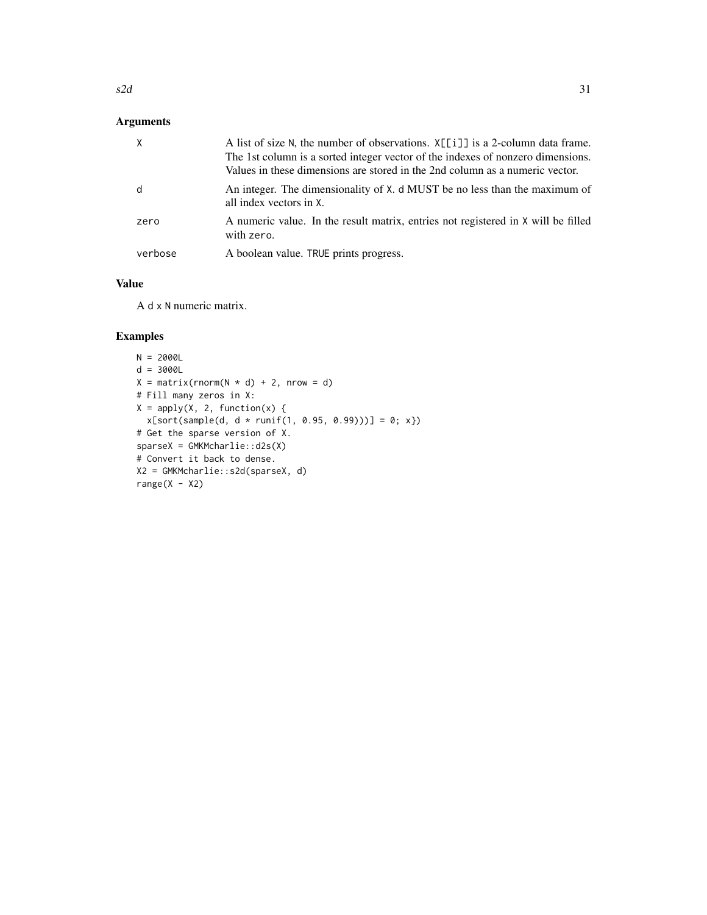# Arguments

|         | A list of size N, the number of observations. $X[[i]]$ is a 2-column data frame.<br>The 1st column is a sorted integer vector of the indexes of nonzero dimensions.<br>Values in these dimensions are stored in the 2nd column as a numeric vector. |
|---------|-----------------------------------------------------------------------------------------------------------------------------------------------------------------------------------------------------------------------------------------------------|
| d       | An integer. The dimensionality of X. d MUST be no less than the maximum of<br>all index vectors in X.                                                                                                                                               |
| zero    | A numeric value. In the result matrix, entries not registered in X will be filled<br>with zero.                                                                                                                                                     |
| verbose | A boolean value. TRUE prints progress.                                                                                                                                                                                                              |

# Value

A d x N numeric matrix.

```
N = 2000Ld = 3000L
X = matrix(rnorm(N * d) + 2, nrow = d)# Fill many zeros in X:
X = apply(X, 2, function(x))x[sort(sample(d, d * runif(1, 0.95, 0.99)))] = 0; x})# Get the sparse version of X.
sparseX = GMKMcharlie::d2s(X)
# Convert it back to dense.
X2 = GMKMcharlie::s2d(sparseX, d)
range(X - X2)
```